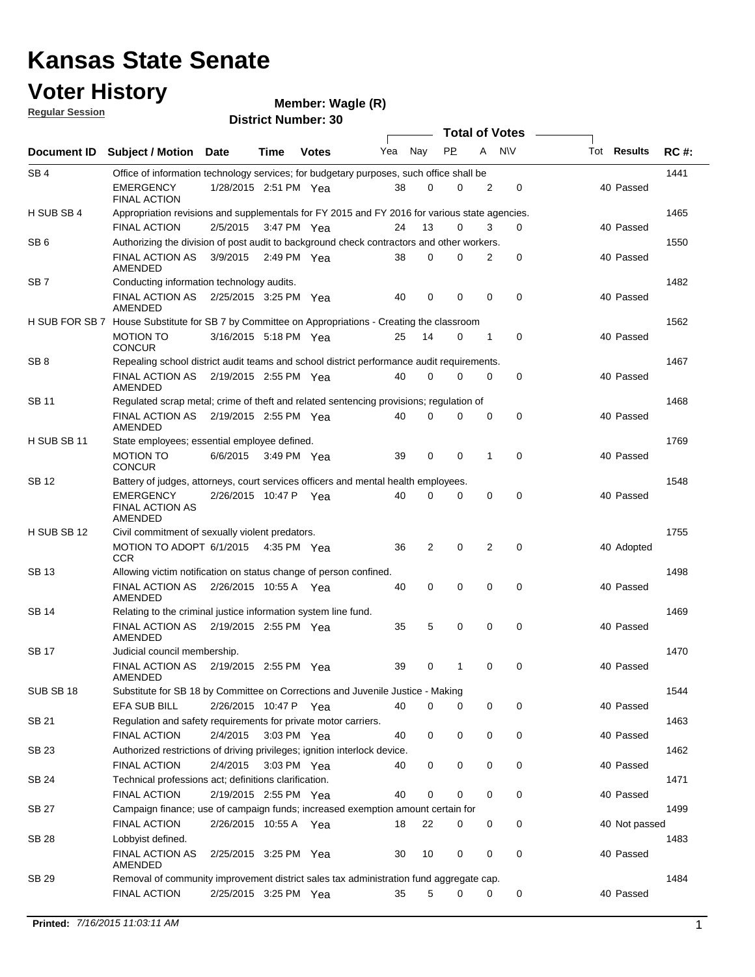### **Voter History Regular Session**

| <u>noquial oceanull</u> |                                                                                                  |                       |      | <b>District Number: 30</b> |     |             |             |          |                       |                    |             |  |
|-------------------------|--------------------------------------------------------------------------------------------------|-----------------------|------|----------------------------|-----|-------------|-------------|----------|-----------------------|--------------------|-------------|--|
|                         |                                                                                                  |                       |      |                            |     |             |             |          | <b>Total of Votes</b> |                    |             |  |
| Document ID             | Subject / Motion                                                                                 | <b>Date</b>           | Time | <b>Votes</b>               | Yea | Nay         | <b>PP</b>   | A        | <b>NV</b>             | Tot <b>Results</b> | <b>RC#:</b> |  |
| SB <sub>4</sub>         | Office of information technology services; for budgetary purposes, such office shall be          |                       |      |                            |     |             |             |          |                       |                    | 1441        |  |
|                         | EMERGENCY<br><b>FINAL ACTION</b>                                                                 | 1/28/2015 2:51 PM Yea |      |                            | 38  | 0           | 0           | 2        | 0                     | 40 Passed          |             |  |
| H SUB SB 4              | Appropriation revisions and supplementals for FY 2015 and FY 2016 for various state agencies.    |                       |      |                            |     |             |             |          |                       |                    | 1465        |  |
|                         | <b>FINAL ACTION</b>                                                                              | 2/5/2015              |      | 3:47 PM Yea                | 24  | 13          | 0           | 3        | $\Omega$              | 40 Passed          |             |  |
| SB <sub>6</sub>         | Authorizing the division of post audit to background check contractors and other workers.        |                       |      |                            |     |             |             |          |                       |                    | 1550        |  |
|                         | <b>FINAL ACTION AS</b><br><b>AMENDED</b>                                                         | 3/9/2015              |      | 2:49 PM Yea                | 38  | 0           | 0           | 2        | 0                     | 40 Passed          |             |  |
| SB <sub>7</sub>         | Conducting information technology audits.                                                        |                       |      |                            |     |             |             |          |                       |                    | 1482        |  |
|                         | <b>FINAL ACTION AS</b><br>AMENDED                                                                | 2/25/2015 3:25 PM Yea |      |                            | 40  | $\mathbf 0$ | $\mathbf 0$ | 0        | 0                     | 40 Passed          |             |  |
|                         | H SUB FOR SB 7 House Substitute for SB 7 by Committee on Appropriations - Creating the classroom |                       |      |                            |     |             |             |          |                       |                    | 1562        |  |
|                         | <b>MOTION TO</b><br><b>CONCUR</b>                                                                | 3/16/2015 5:18 PM Yea |      |                            | 25  | 14          | 0           | 1        | 0                     | 40 Passed          |             |  |
| SB <sub>8</sub>         | Repealing school district audit teams and school district performance audit requirements.        |                       |      |                            |     |             |             |          |                       |                    | 1467        |  |
|                         | <b>FINAL ACTION AS</b><br>AMENDED                                                                | 2/19/2015 2:55 PM Yea |      |                            | 40  | 0           | 0           | 0        | 0                     | 40 Passed          |             |  |
| SB 11                   | Regulated scrap metal; crime of theft and related sentencing provisions; regulation of           |                       |      |                            |     |             |             |          |                       |                    | 1468        |  |
|                         | <b>FINAL ACTION AS</b><br>AMENDED                                                                | 2/19/2015 2:55 PM Yea |      |                            | 40  | 0           | 0           | 0        | $\mathbf 0$           | 40 Passed          |             |  |
| H SUB SB 11             | State employees; essential employee defined.                                                     |                       |      |                            |     |             |             |          |                       |                    | 1769        |  |
|                         | <b>MOTION TO</b><br><b>CONCUR</b>                                                                | 6/6/2015              |      | $3:49$ PM Yea              | 39  | 0           | $\mathbf 0$ | 1        | 0                     | 40 Passed          |             |  |
| SB 12                   | Battery of judges, attorneys, court services officers and mental health employees.               |                       |      |                            |     |             |             |          |                       |                    | 1548        |  |
|                         | <b>EMERGENCY</b><br><b>FINAL ACTION AS</b><br><b>AMENDED</b>                                     | 2/26/2015 10:47 P Yea |      |                            | 40  | 0           | 0           | 0        | 0                     | 40 Passed          |             |  |
| H SUB SB 12             | Civil commitment of sexually violent predators.                                                  |                       |      |                            |     |             |             |          |                       |                    | 1755        |  |
|                         | MOTION TO ADOPT 6/1/2015<br>CCR                                                                  |                       |      | 4:35 PM Yea                | 36  | 2           | $\mathbf 0$ | 2        | $\mathbf 0$           | 40 Adopted         |             |  |
| SB 13                   | Allowing victim notification on status change of person confined.                                |                       |      |                            |     |             |             |          |                       |                    | 1498        |  |
|                         | FINAL ACTION AS<br>AMENDED                                                                       | 2/26/2015 10:55 A Yea |      |                            | 40  | 0           | 0           | 0        | $\mathbf 0$           | 40 Passed          |             |  |
| SB 14                   | Relating to the criminal justice information system line fund.                                   |                       |      |                            |     |             |             |          |                       |                    | 1469        |  |
|                         | FINAL ACTION AS 2/19/2015 2:55 PM Yea<br>AMENDED                                                 |                       |      |                            | 35  | 5           | 0           | 0        | 0                     | 40 Passed          |             |  |
| SB 17                   | Judicial council membership.                                                                     |                       |      |                            |     |             |             |          |                       |                    | 1470        |  |
|                         | FINAL ACTION AS 2/19/2015 2:55 PM Yea<br>AMENDED                                                 |                       |      |                            | 39  | $\Omega$    | 1.          | $\Omega$ | $\Omega$              | 40 Passed          |             |  |
| SUB SB 18               | Substitute for SB 18 by Committee on Corrections and Juvenile Justice - Making                   |                       |      |                            |     |             |             |          |                       |                    | 1544        |  |
|                         | <b>EFA SUB BILL</b>                                                                              | 2/26/2015 10:47 P Yea |      |                            | 40  | 0           | 0           | 0        | 0                     | 40 Passed          |             |  |
| SB 21                   | Regulation and safety requirements for private motor carriers.                                   |                       |      |                            |     |             |             |          |                       |                    | 1463        |  |
|                         | <b>FINAL ACTION</b>                                                                              | 2/4/2015 3:03 PM Yea  |      |                            | 40  | 0           | 0           | 0        | 0                     | 40 Passed          |             |  |
| <b>SB 23</b>            | Authorized restrictions of driving privileges; ignition interlock device.                        |                       |      |                            |     |             |             |          |                       |                    | 1462        |  |
|                         | <b>FINAL ACTION</b>                                                                              | 2/4/2015 3:03 PM Yea  |      |                            | 40  | 0           | 0           | 0        | 0                     | 40 Passed          |             |  |
| SB 24                   | Technical professions act; definitions clarification.                                            |                       |      |                            |     |             |             |          |                       |                    | 1471        |  |
|                         | <b>FINAL ACTION</b>                                                                              | 2/19/2015 2:55 PM Yea |      |                            | 40  | $\mathbf 0$ | 0           | 0        | 0                     | 40 Passed          |             |  |
| <b>SB 27</b>            | Campaign finance; use of campaign funds; increased exemption amount certain for                  |                       |      |                            |     |             |             |          |                       |                    | 1499        |  |
|                         | FINAL ACTION                                                                                     | 2/26/2015 10:55 A Yea |      |                            | 18  | 22          | 0           | 0        | 0                     | 40 Not passed      |             |  |
| <b>SB 28</b>            | Lobbyist defined.                                                                                |                       |      |                            |     |             |             |          |                       |                    | 1483        |  |
|                         | FINAL ACTION AS<br>AMENDED                                                                       | 2/25/2015 3:25 PM Yea |      |                            | 30  | 10          | 0           | 0        | 0                     | 40 Passed          |             |  |
| SB 29                   | Removal of community improvement district sales tax administration fund aggregate cap.           |                       |      |                            |     |             |             |          |                       |                    | 1484        |  |
|                         | <b>FINAL ACTION</b>                                                                              | 2/25/2015 3:25 PM Yea |      |                            | 35  | 5           | 0           | 0        | 0                     | 40 Passed          |             |  |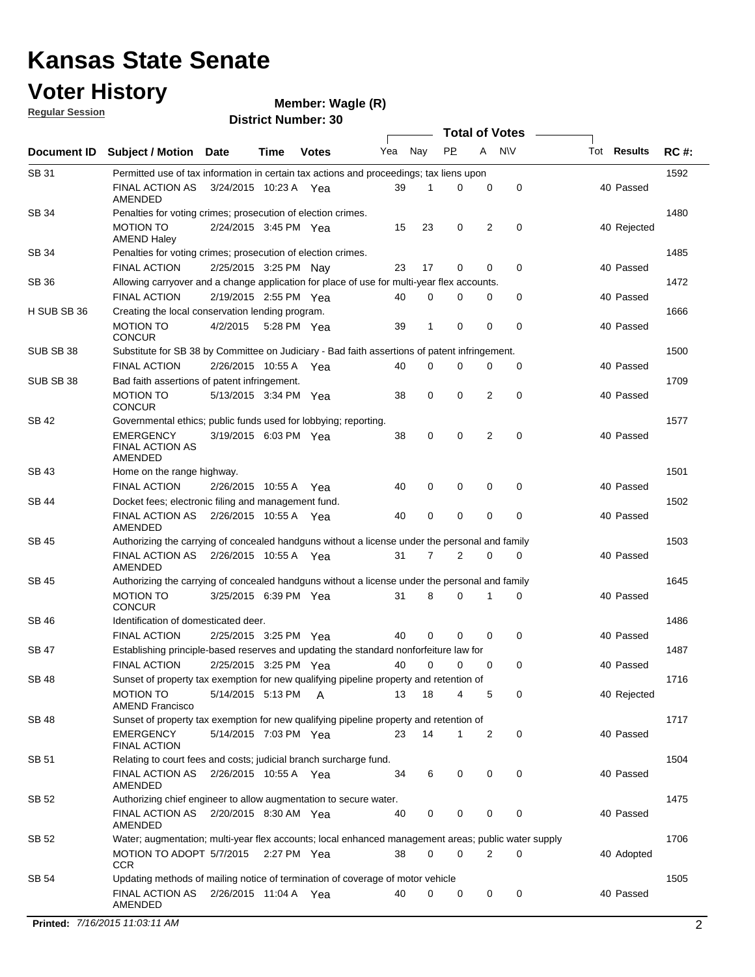### **Voter History**

**Wagle (R)**

**Regular Session**

|              |                                                                                                     |                       |             |              |     |             | <b>Total of Votes</b> |   |           |                    |             |
|--------------|-----------------------------------------------------------------------------------------------------|-----------------------|-------------|--------------|-----|-------------|-----------------------|---|-----------|--------------------|-------------|
| Document ID  | <b>Subject / Motion</b>                                                                             | <b>Date</b>           | Time        | <b>Votes</b> | Yea | Nay         | <b>PP</b>             | A | <b>NV</b> | Tot <b>Results</b> | <b>RC#:</b> |
| SB 31        | Permitted use of tax information in certain tax actions and proceedings; tax liens upon             |                       |             |              |     |             |                       |   |           |                    | 1592        |
|              | <b>FINAL ACTION AS</b><br>AMENDED                                                                   | 3/24/2015 10:23 A Yea |             |              | 39  | 1           | 0                     | 0 | 0         | 40 Passed          |             |
| <b>SB 34</b> | Penalties for voting crimes; prosecution of election crimes.                                        |                       |             |              |     |             |                       |   |           |                    | 1480        |
|              | <b>MOTION TO</b><br><b>AMEND Haley</b>                                                              | 2/24/2015 3:45 PM Yea |             |              | 15  | 23          | 0                     | 2 | 0         | 40 Rejected        |             |
| SB 34        | Penalties for voting crimes; prosecution of election crimes.                                        |                       |             |              |     |             |                       |   |           |                    | 1485        |
|              | <b>FINAL ACTION</b>                                                                                 | 2/25/2015 3:25 PM Nay |             |              | 23  | 17          | 0                     | 0 | 0         | 40 Passed          |             |
| <b>SB 36</b> | Allowing carryover and a change application for place of use for multi-year flex accounts.          |                       |             |              |     |             |                       |   |           |                    | 1472        |
|              | <b>FINAL ACTION</b>                                                                                 | 2/19/2015 2:55 PM Yea |             |              | 40  | $\Omega$    | 0                     | 0 | 0         | 40 Passed          |             |
| H SUB SB 36  | Creating the local conservation lending program.                                                    |                       |             |              |     |             |                       |   |           |                    | 1666        |
|              | MOTION TO<br><b>CONCUR</b>                                                                          | 4/2/2015              | 5:28 PM Yea |              | 39  | 1           | $\mathbf 0$           | 0 | 0         | 40 Passed          |             |
| SUB SB 38    | Substitute for SB 38 by Committee on Judiciary - Bad faith assertions of patent infringement.       |                       |             |              |     |             |                       |   |           |                    | 1500        |
|              | <b>FINAL ACTION</b>                                                                                 | 2/26/2015 10:55 A     |             | Yea          | 40  | 0           | 0                     | 0 | 0         | 40 Passed          |             |
| SUB SB 38    | Bad faith assertions of patent infringement.                                                        |                       |             |              |     |             |                       |   |           |                    | 1709        |
|              | <b>MOTION TO</b><br><b>CONCUR</b>                                                                   | 5/13/2015 3:34 PM Yea |             |              | 38  | 0           | 0                     | 2 | 0         | 40 Passed          |             |
| <b>SB 42</b> | Governmental ethics; public funds used for lobbying; reporting.                                     |                       |             |              |     |             |                       |   |           |                    | 1577        |
|              | EMERGENCY<br><b>FINAL ACTION AS</b><br>AMENDED                                                      | 3/19/2015 6:03 PM Yea |             |              | 38  | 0           | 0                     | 2 | 0         | 40 Passed          |             |
| <b>SB 43</b> | Home on the range highway.                                                                          |                       |             |              |     |             |                       |   |           |                    | 1501        |
|              | <b>FINAL ACTION</b>                                                                                 | 2/26/2015 10:55 A Yea |             |              | 40  | 0           | 0                     | 0 | 0         | 40 Passed          |             |
| SB 44        | Docket fees; electronic filing and management fund.                                                 |                       |             |              |     |             |                       |   |           |                    | 1502        |
|              | <b>FINAL ACTION AS</b><br>AMENDED                                                                   | 2/26/2015 10:55 A Yea |             |              | 40  | 0           | 0                     | 0 | 0         | 40 Passed          |             |
| SB 45        | Authorizing the carrying of concealed handguns without a license under the personal and family      |                       |             |              |     |             |                       |   |           |                    | 1503        |
|              | FINAL ACTION AS<br>AMENDED                                                                          | 2/26/2015 10:55 A Yea |             |              | 31  | 7           | 2                     | 0 | 0         | 40 Passed          |             |
| SB 45        | Authorizing the carrying of concealed handguns without a license under the personal and family      |                       |             |              |     |             |                       |   |           |                    | 1645        |
|              | <b>MOTION TO</b><br><b>CONCUR</b>                                                                   | 3/25/2015 6:39 PM Yea |             |              | 31  | 8           | 0                     | 1 | 0         | 40 Passed          |             |
| <b>SB 46</b> | Identification of domesticated deer.                                                                |                       |             |              |     |             |                       |   |           |                    | 1486        |
|              | <b>FINAL ACTION</b>                                                                                 | 2/25/2015 3:25 PM Yea |             |              | 40  | $\mathbf 0$ | 0                     | 0 | 0         | 40 Passed          |             |
| <b>SB 47</b> | Establishing principle-based reserves and updating the standard nonforfeiture law for               |                       |             |              |     |             |                       |   |           |                    | 1487        |
|              | <b>FINAL ACTION</b>                                                                                 | 2/25/2015 3:25 PM Yea |             |              | 40  | $\mathbf 0$ | 0                     | 0 | 0         | 40 Passed          |             |
| <b>SB 48</b> | Sunset of property tax exemption for new qualifying pipeline property and retention of              |                       |             |              |     |             |                       |   |           |                    | 1716        |
|              | <b>MOTION TO</b><br>AMEND Francisco                                                                 | 5/14/2015 5:13 PM A   |             |              | 13  | 18          | 4                     | 5 | 0         | 40 Rejected        |             |
| SB 48        | Sunset of property tax exemption for new qualifying pipeline property and retention of              |                       |             |              |     |             |                       |   |           |                    | 1717        |
|              | EMERGENCY<br><b>FINAL ACTION</b>                                                                    | 5/14/2015 7:03 PM Yea |             |              | 23  | 14          | 1                     | 2 | 0         | 40 Passed          |             |
| <b>SB 51</b> | Relating to court fees and costs; judicial branch surcharge fund.                                   |                       |             |              |     |             |                       |   |           |                    | 1504        |
|              | FINAL ACTION AS  2/26/2015  10:55 A  Yea<br>AMENDED                                                 |                       |             |              | 34  | 6           | 0                     | 0 | 0         | 40 Passed          |             |
| SB 52        | Authorizing chief engineer to allow augmentation to secure water.                                   |                       |             |              |     |             |                       |   |           |                    | 1475        |
|              | FINAL ACTION AS  2/20/2015  8:30 AM  Yea<br>AMENDED                                                 |                       |             |              | 40  | 0           | 0                     | 0 | 0         | 40 Passed          |             |
| SB 52        | Water; augmentation; multi-year flex accounts; local enhanced management areas; public water supply |                       |             |              |     |             |                       |   |           |                    | 1706        |
|              | MOTION TO ADOPT 5/7/2015 2:27 PM Yea<br><b>CCR</b>                                                  |                       |             |              | 38  | $\mathbf 0$ | 0                     | 2 | 0         | 40 Adopted         |             |
| SB 54        | Updating methods of mailing notice of termination of coverage of motor vehicle                      |                       |             |              |     |             |                       |   |           |                    | 1505        |
|              | FINAL ACTION AS 2/26/2015 11:04 A Yea<br>AMENDED                                                    |                       |             |              | 40  | 0           | 0                     | 0 | 0         | 40 Passed          |             |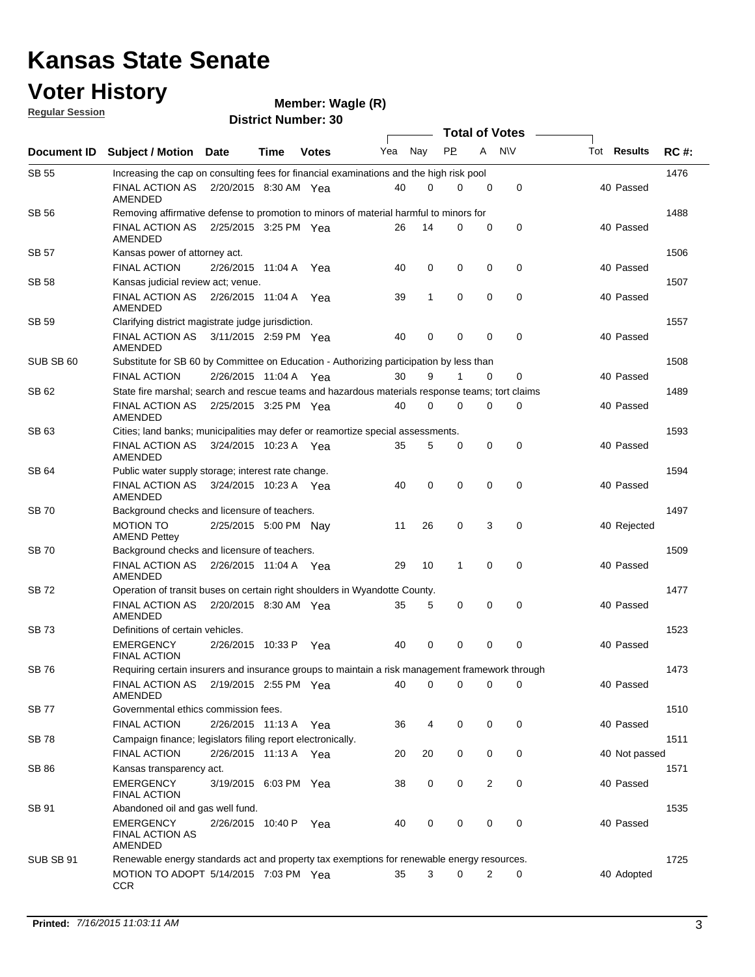#### **Voter History Regular Session**

| <u>noquial oceanull</u> |                                                                                                 |                       |      | <b>District Number: 30</b> |     |             |           |          |                  |                    |             |
|-------------------------|-------------------------------------------------------------------------------------------------|-----------------------|------|----------------------------|-----|-------------|-----------|----------|------------------|--------------------|-------------|
|                         |                                                                                                 |                       |      |                            |     |             |           |          | Total of Votes – |                    |             |
| Document ID             | Subject / Motion Date                                                                           |                       | Time | <b>Votes</b>               | Yea | Nay         | <b>PP</b> | A        | <b>NV</b>        | Tot <b>Results</b> | <b>RC#:</b> |
| <b>SB 55</b>            | Increasing the cap on consulting fees for financial examinations and the high risk pool         |                       |      |                            |     |             |           |          |                  |                    | 1476        |
|                         | FINAL ACTION AS<br>AMENDED                                                                      | 2/20/2015 8:30 AM Yea |      |                            | 40  | 0           | 0         | 0        | 0                | 40 Passed          |             |
| SB 56                   | Removing affirmative defense to promotion to minors of material harmful to minors for           |                       |      |                            |     |             |           |          |                  |                    | 1488        |
|                         | FINAL ACTION AS<br>AMENDED                                                                      | 2/25/2015 3:25 PM Yea |      |                            | 26  | 14          | 0         | 0        | 0                | 40 Passed          |             |
| <b>SB 57</b>            | Kansas power of attorney act.                                                                   |                       |      |                            |     |             |           |          |                  |                    | 1506        |
|                         | <b>FINAL ACTION</b>                                                                             | 2/26/2015 11:04 A Yea |      |                            | 40  | 0           | 0         | 0        | 0                | 40 Passed          |             |
| <b>SB 58</b>            | Kansas judicial review act; venue.                                                              |                       |      |                            |     |             |           |          |                  |                    | 1507        |
|                         | <b>FINAL ACTION AS</b><br>AMENDED                                                               | 2/26/2015 11:04 A Yea |      |                            | 39  | 1           | 0         | 0        | $\mathbf 0$      | 40 Passed          |             |
| SB 59                   | Clarifying district magistrate judge jurisdiction.                                              |                       |      |                            |     |             |           |          |                  |                    | 1557        |
|                         | FINAL ACTION AS 3/11/2015 2:59 PM Yea<br>AMENDED                                                |                       |      |                            | 40  | 0           | 0         | 0        | $\mathbf 0$      | 40 Passed          |             |
| SUB SB 60               | Substitute for SB 60 by Committee on Education - Authorizing participation by less than         |                       |      |                            |     |             |           |          |                  |                    | 1508        |
|                         | <b>FINAL ACTION</b>                                                                             | 2/26/2015 11:04 A Yea |      |                            | 30  | 9           |           | 0        | 0                | 40 Passed          |             |
| SB 62                   | State fire marshal; search and rescue teams and hazardous materials response teams; tort claims |                       |      |                            |     |             |           |          |                  |                    | 1489        |
|                         | <b>FINAL ACTION AS</b><br>AMENDED                                                               | 2/25/2015 3:25 PM Yea |      |                            | 40  | 0           | 0         | 0        | 0                | 40 Passed          |             |
| SB 63                   | Cities; land banks; municipalities may defer or reamortize special assessments.                 |                       |      |                            |     |             |           |          |                  |                    | 1593        |
|                         | FINAL ACTION AS<br>AMENDED                                                                      | 3/24/2015 10:23 A Yea |      |                            | 35  | 5           | 0         | 0        | 0                | 40 Passed          |             |
| SB 64                   | Public water supply storage; interest rate change.                                              |                       |      |                            |     |             |           |          |                  |                    | 1594        |
|                         | FINAL ACTION AS<br>AMENDED                                                                      | 3/24/2015 10:23 A Yea |      |                            | 40  | 0           | 0         | 0        | 0                | 40 Passed          |             |
| SB 70                   | Background checks and licensure of teachers.                                                    |                       |      |                            |     |             |           |          |                  |                    | 1497        |
|                         | <b>MOTION TO</b><br><b>AMEND Pettey</b>                                                         | 2/25/2015 5:00 PM Nav |      |                            | 11  | 26          | 0         | 3        | 0                | 40 Rejected        |             |
| <b>SB 70</b>            | Background checks and licensure of teachers.                                                    |                       |      |                            |     |             |           |          |                  |                    | 1509        |
|                         | FINAL ACTION AS  2/26/2015  11:04 A  Yea<br>AMENDED                                             |                       |      |                            | 29  | 10          | 1         | $\Omega$ | 0                | 40 Passed          |             |
| SB 72                   | Operation of transit buses on certain right shoulders in Wyandotte County.                      |                       |      |                            |     |             |           |          |                  |                    | 1477        |
|                         | FINAL ACTION AS<br>AMENDED                                                                      | 2/20/2015 8:30 AM Yea |      |                            | 35  | 5           | 0         | 0        | 0                | 40 Passed          |             |
| <b>SB73</b>             | Definitions of certain vehicles.                                                                |                       |      |                            |     |             |           |          |                  |                    | 1523        |
|                         | <b>EMERGENCY</b><br><b>FINAL ACTION</b>                                                         | 2/26/2015 10:33 P     |      | Yea                        | 40  | $\mathbf 0$ | 0         | 0        | 0                | 40 Passed          |             |
| <b>SB76</b>             | Requiring certain insurers and insurance groups to maintain a risk management framework through |                       |      |                            |     |             |           |          |                  |                    | 1473        |
|                         | FINAL ACTION AS  2/19/2015  2:55 PM  Yea<br>AMENDED                                             |                       |      |                            | 40  | 0           | 0         | 0        | 0                | 40 Passed          |             |
| SB 77                   | Governmental ethics commission fees.                                                            |                       |      |                            |     |             |           |          |                  |                    | 1510        |
|                         | <b>FINAL ACTION</b>                                                                             | 2/26/2015 11:13 A Yea |      |                            | 36  | 4           | 0         | 0        | 0                | 40 Passed          |             |
| SB 78                   | Campaign finance; legislators filing report electronically.<br><b>FINAL ACTION</b>              | 2/26/2015 11:13 A Yea |      |                            | 20  | 20          | 0         | 0        | 0                | 40 Not passed      | 1511        |
| SB 86                   | Kansas transparency act.                                                                        |                       |      |                            |     |             |           |          |                  |                    | 1571        |
|                         | <b>EMERGENCY</b><br><b>FINAL ACTION</b>                                                         | 3/19/2015 6:03 PM Yea |      |                            | 38  | 0           | 0         | 2        | 0                | 40 Passed          |             |
| SB 91                   | Abandoned oil and gas well fund.                                                                |                       |      |                            |     |             |           |          |                  |                    | 1535        |
|                         | <b>EMERGENCY</b><br><b>FINAL ACTION AS</b><br>AMENDED                                           | 2/26/2015 10:40 P     |      | Yea                        | 40  | 0           | 0         | 0        | $\mathbf 0$      | 40 Passed          |             |
| SUB SB 91               | Renewable energy standards act and property tax exemptions for renewable energy resources.      |                       |      |                            |     |             |           |          |                  |                    | 1725        |
|                         | MOTION TO ADOPT 5/14/2015 7:03 PM Yea<br><b>CCR</b>                                             |                       |      |                            | 35  | 3           | 0         | 2        | 0                | 40 Adopted         |             |
|                         |                                                                                                 |                       |      |                            |     |             |           |          |                  |                    |             |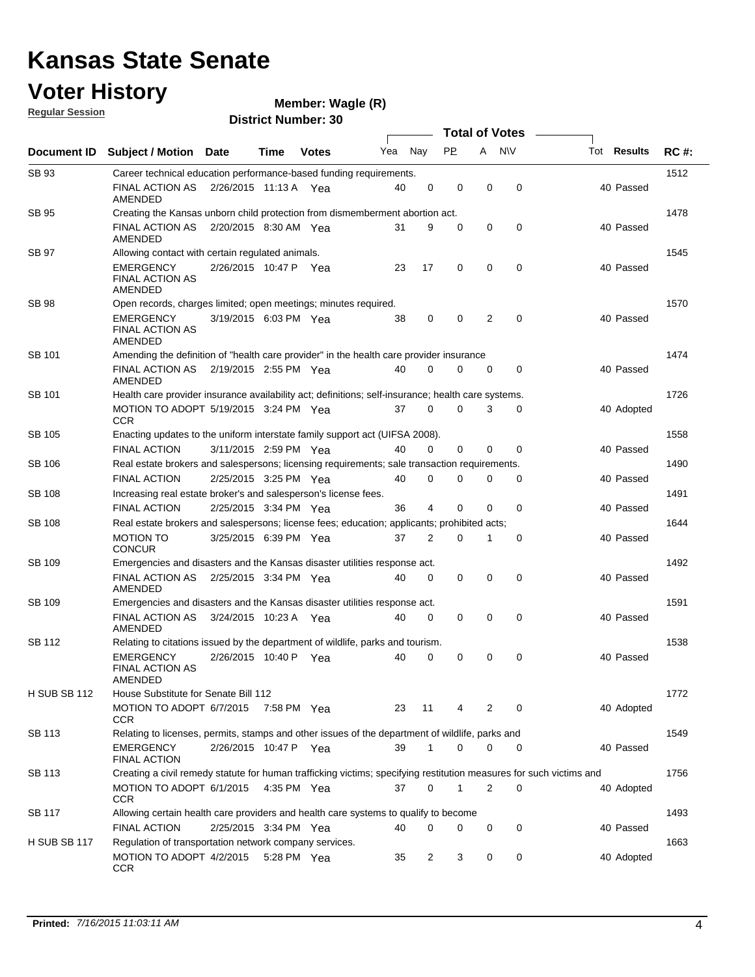### **Voter History Regular Session**

| <u>noquial ocoolori</u> |                                                                                                                     |                       |      | <b>District Number: 30</b> |     |                |           |             |                       |                    |             |
|-------------------------|---------------------------------------------------------------------------------------------------------------------|-----------------------|------|----------------------------|-----|----------------|-----------|-------------|-----------------------|--------------------|-------------|
|                         |                                                                                                                     |                       |      |                            |     |                |           |             | <b>Total of Votes</b> |                    |             |
| <b>Document ID</b>      | <b>Subject / Motion</b>                                                                                             | Date                  | Time | <b>Votes</b>               | Yea | Nay            | <b>PP</b> | A           | N\V                   | <b>Tot Results</b> | <b>RC#:</b> |
| SB 93                   | Career technical education performance-based funding requirements.                                                  |                       |      |                            |     |                |           |             |                       |                    | 1512        |
|                         | FINAL ACTION AS<br>AMENDED                                                                                          | 2/26/2015 11:13 A Yea |      |                            | 40  | 0              | 0         | 0           | $\mathbf 0$           | 40 Passed          |             |
| SB 95                   | Creating the Kansas unborn child protection from dismemberment abortion act.                                        |                       |      |                            |     |                |           |             |                       |                    | 1478        |
|                         | <b>FINAL ACTION AS</b><br>AMENDED                                                                                   | 2/20/2015 8:30 AM Yea |      |                            | 31  | 9              | 0         | $\mathbf 0$ | 0                     | 40 Passed          |             |
| SB 97                   | Allowing contact with certain regulated animals.                                                                    |                       |      |                            |     |                |           |             |                       |                    | 1545        |
|                         | <b>EMERGENCY</b><br><b>FINAL ACTION AS</b><br>AMENDED                                                               | 2/26/2015 10:47 P Yea |      |                            | 23  | 17             | 0         | 0           | 0                     | 40 Passed          |             |
| SB 98                   | Open records, charges limited; open meetings; minutes required.                                                     |                       |      |                            |     |                |           |             |                       |                    | 1570        |
|                         | <b>EMERGENCY</b><br><b>FINAL ACTION AS</b><br>AMENDED                                                               | 3/19/2015 6:03 PM Yea |      |                            | 38  | 0              | 0         | 2           | 0                     | 40 Passed          |             |
| SB 101                  | Amending the definition of "health care provider" in the health care provider insurance                             |                       |      |                            |     |                |           |             |                       |                    | 1474        |
|                         | <b>FINAL ACTION AS</b><br>AMENDED                                                                                   | 2/19/2015 2:55 PM Yea |      |                            | 40  | 0              | 0         | 0           | 0                     | 40 Passed          |             |
| SB 101                  | Health care provider insurance availability act; definitions; self-insurance; health care systems.                  |                       |      |                            |     |                |           |             |                       |                    | 1726        |
|                         | MOTION TO ADOPT 5/19/2015 3:24 PM Yea<br>CCR                                                                        |                       |      |                            | 37  | 0              | 0         | 3           | 0                     | 40 Adopted         |             |
| SB 105                  | Enacting updates to the uniform interstate family support act (UIFSA 2008).                                         |                       |      |                            |     |                |           |             |                       |                    | 1558        |
|                         | <b>FINAL ACTION</b>                                                                                                 | 3/11/2015 2:59 PM Yea |      |                            | 40  | 0              | 0         | 0           | 0                     | 40 Passed          |             |
| SB 106                  | Real estate brokers and salespersons; licensing requirements; sale transaction requirements.                        |                       |      |                            |     |                |           |             |                       |                    | 1490        |
|                         | <b>FINAL ACTION</b>                                                                                                 | 2/25/2015 3:25 PM Yea |      |                            | 40  | 0              | 0         | 0           | 0                     | 40 Passed          |             |
| SB 108                  | Increasing real estate broker's and salesperson's license fees.                                                     |                       |      |                            |     |                |           |             |                       |                    | 1491        |
|                         | <b>FINAL ACTION</b>                                                                                                 | 2/25/2015 3:34 PM Yea |      |                            | 36  | 4              | 0         | $\Omega$    | 0                     | 40 Passed          |             |
| SB 108                  | Real estate brokers and salespersons; license fees; education; applicants; prohibited acts;                         |                       |      |                            |     |                |           |             |                       |                    | 1644        |
|                         | <b>MOTION TO</b><br><b>CONCUR</b>                                                                                   | 3/25/2015 6:39 PM Yea |      |                            | 37  | 2              | 0         |             | 0                     | 40 Passed          |             |
| SB 109                  | Emergencies and disasters and the Kansas disaster utilities response act.                                           |                       |      |                            |     |                |           |             |                       |                    | 1492        |
|                         | <b>FINAL ACTION AS</b><br>AMENDED                                                                                   | 2/25/2015 3:34 PM Yea |      |                            | 40  | 0              | 0         | 0           | 0                     | 40 Passed          |             |
| SB 109                  | Emergencies and disasters and the Kansas disaster utilities response act.                                           |                       |      |                            |     |                |           |             |                       |                    | 1591        |
|                         | FINAL ACTION AS<br>AMENDED                                                                                          | 3/24/2015 10:23 A Yea |      |                            | 40  | 0              | 0         | 0           | $\mathbf 0$           | 40 Passed          |             |
| SB 112                  | Relating to citations issued by the department of wildlife, parks and tourism.                                      |                       |      |                            |     |                |           |             |                       |                    | 1538        |
|                         | EMERGENCY<br>FINAL ACTION AS<br>AMENDED                                                                             | 2/26/2015 10:40 P Yea |      |                            | 40  | 0              | 0         | 0           | 0                     | 40 Passed          |             |
| H SUB SB 112            | House Substitute for Senate Bill 112                                                                                |                       |      |                            |     |                |           |             |                       |                    | 1772        |
|                         | MOTION TO ADOPT 6/7/2015<br>CCR                                                                                     |                       |      | 7:58 PM Yea                | 23  | 11             | 4         | 2           | 0                     | 40 Adopted         |             |
| SB 113                  | Relating to licenses, permits, stamps and other issues of the department of wildlife, parks and                     |                       |      |                            |     |                |           |             |                       |                    | 1549        |
|                         | <b>EMERGENCY</b><br>FINAL ACTION                                                                                    | 2/26/2015 10:47 P Yea |      |                            | 39  | 1              | 0         | $\mathbf 0$ | 0                     | 40 Passed          |             |
| SB 113                  | Creating a civil remedy statute for human trafficking victims; specifying restitution measures for such victims and |                       |      |                            |     |                |           |             |                       |                    | 1756        |
|                         | MOTION TO ADOPT 6/1/2015<br>CCR                                                                                     |                       |      | 4:35 PM Yea                | 37  | 0              | 1         | 2           | 0                     | 40 Adopted         |             |
| SB 117                  | Allowing certain health care providers and health care systems to qualify to become                                 |                       |      |                            |     |                |           |             |                       |                    | 1493        |
|                         | <b>FINAL ACTION</b>                                                                                                 | 2/25/2015 3:34 PM Yea |      |                            | 40  | 0              | 0         | 0           | 0                     | 40 Passed          |             |
| <b>H SUB SB 117</b>     | Regulation of transportation network company services.<br>MOTION TO ADOPT 4/2/2015<br><b>CCR</b>                    |                       |      | 5:28 PM Yea                | 35  | $\overline{2}$ | 3         | 0           | 0                     | 40 Adopted         | 1663        |
|                         |                                                                                                                     |                       |      |                            |     |                |           |             |                       |                    |             |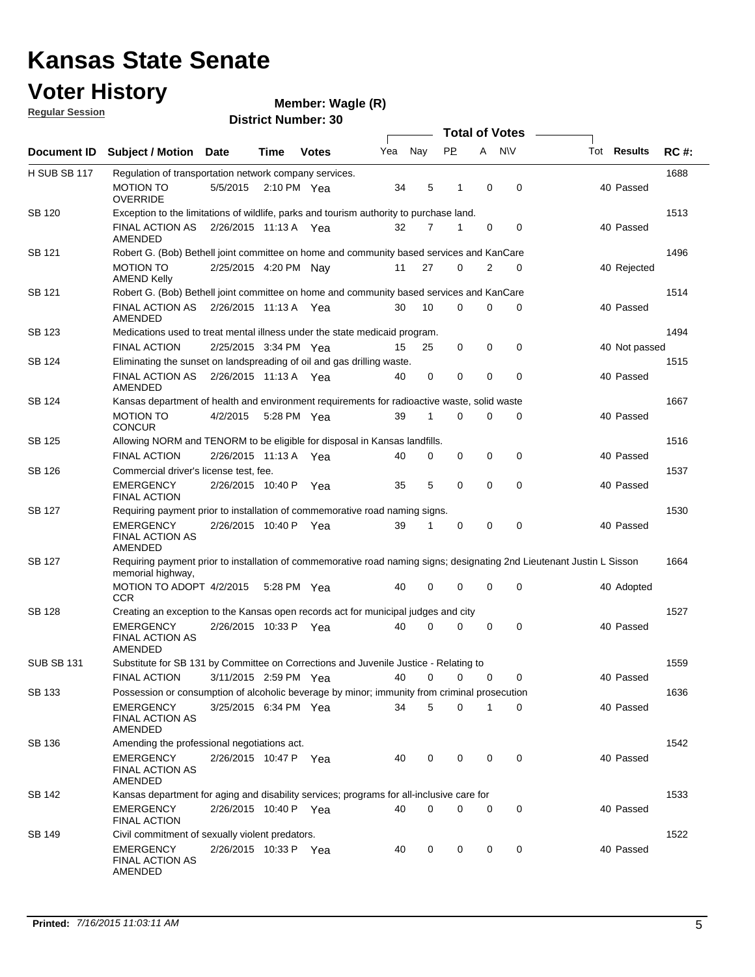### **Voter History**

#### **Wagle (R)**

**Regular Session**

|                     |                                                                                                                                             |                       |             |                       |     |             |           |             | <b>Total of Votes</b> |                    |             |
|---------------------|---------------------------------------------------------------------------------------------------------------------------------------------|-----------------------|-------------|-----------------------|-----|-------------|-----------|-------------|-----------------------|--------------------|-------------|
| Document ID         | <b>Subject / Motion</b>                                                                                                                     | Date                  | Time        | <b>Votes</b>          | Yea | Nay         | <b>PP</b> |             | A NW                  | Tot <b>Results</b> | <b>RC#:</b> |
| <b>H SUB SB 117</b> | Regulation of transportation network company services.                                                                                      |                       |             |                       |     |             |           |             |                       |                    | 1688        |
|                     | <b>MOTION TO</b><br><b>OVERRIDE</b>                                                                                                         | 5/5/2015              |             | $2:10 \text{ PM}$ Yea | 34  | 5           | 1         | $\mathbf 0$ | $\mathbf 0$           | 40 Passed          |             |
| <b>SB 120</b>       | Exception to the limitations of wildlife, parks and tourism authority to purchase land.                                                     |                       |             |                       |     |             |           |             |                       |                    | 1513        |
|                     | <b>FINAL ACTION AS</b><br>AMENDED                                                                                                           | 2/26/2015 11:13 A Yea |             |                       | 32  | 7           | 1         | $\mathbf 0$ | $\mathbf 0$           | 40 Passed          |             |
| SB 121              | Robert G. (Bob) Bethell joint committee on home and community based services and KanCare                                                    |                       |             |                       |     |             |           |             |                       |                    | 1496        |
|                     | <b>MOTION TO</b><br><b>AMEND Kelly</b>                                                                                                      | 2/25/2015 4:20 PM Nay |             |                       | 11  | 27          | $\Omega$  | 2           | $\mathbf 0$           | 40 Rejected        |             |
| SB 121              | Robert G. (Bob) Bethell joint committee on home and community based services and KanCare                                                    |                       |             |                       |     |             |           |             |                       |                    | 1514        |
|                     | FINAL ACTION AS<br>AMENDED                                                                                                                  | 2/26/2015 11:13 A Yea |             |                       | 30  | 10          | 0         | 0           | 0                     | 40 Passed          |             |
| SB 123              | Medications used to treat mental illness under the state medicaid program.                                                                  |                       |             |                       |     |             |           |             |                       |                    | 1494        |
|                     | <b>FINAL ACTION</b>                                                                                                                         | 2/25/2015 3:34 PM Yea |             |                       | 15  | 25          | 0         | 0           | 0                     | 40 Not passed      |             |
| SB 124              | Eliminating the sunset on landspreading of oil and gas drilling waste.                                                                      |                       |             |                       |     |             |           |             |                       |                    | 1515        |
|                     | <b>FINAL ACTION AS</b><br><b>AMENDED</b>                                                                                                    | 2/26/2015 11:13 A Yea |             |                       | 40  | 0           | 0         | $\mathbf 0$ | $\mathbf 0$           | 40 Passed          |             |
| SB 124              | Kansas department of health and environment requirements for radioactive waste, solid waste                                                 |                       |             |                       |     |             |           |             |                       |                    | 1667        |
|                     | <b>MOTION TO</b><br><b>CONCUR</b>                                                                                                           | 4/2/2015              | 5:28 PM Yea |                       | 39  | 1           | $\Omega$  | 0           | $\mathbf 0$           | 40 Passed          |             |
| SB 125              | Allowing NORM and TENORM to be eligible for disposal in Kansas landfills.                                                                   |                       |             |                       |     |             |           |             |                       |                    | 1516        |
|                     | <b>FINAL ACTION</b>                                                                                                                         | 2/26/2015 11:13 A     |             | Yea                   | 40  | $\mathbf 0$ | 0         | $\mathbf 0$ | $\mathbf 0$           | 40 Passed          |             |
| SB 126              | Commercial driver's license test, fee.                                                                                                      |                       |             |                       |     |             |           |             |                       |                    | 1537        |
|                     | <b>EMERGENCY</b><br><b>FINAL ACTION</b>                                                                                                     | 2/26/2015 10:40 P     |             | Yea                   | 35  | 5           | 0         | $\mathbf 0$ | $\mathbf 0$           | 40 Passed          |             |
| SB 127              | Requiring payment prior to installation of commemorative road naming signs.                                                                 |                       |             |                       |     |             |           |             |                       |                    | 1530        |
|                     | <b>EMERGENCY</b><br><b>FINAL ACTION AS</b><br>AMENDED                                                                                       | 2/26/2015 10:40 P     |             | Yea                   | 39  | 1           | 0         | 0           | $\mathbf 0$           | 40 Passed          |             |
| <b>SB 127</b>       | Requiring payment prior to installation of commemorative road naming signs; designating 2nd Lieutenant Justin L Sisson<br>memorial highway, |                       |             |                       |     |             |           |             |                       |                    | 1664        |
|                     | MOTION TO ADOPT 4/2/2015<br><b>CCR</b>                                                                                                      |                       | 5:28 PM Yea |                       | 40  | $\mathbf 0$ | 0         | $\mathbf 0$ | 0                     | 40 Adopted         |             |
| <b>SB 128</b>       | Creating an exception to the Kansas open records act for municipal judges and city                                                          |                       |             |                       |     |             |           |             |                       |                    | 1527        |
|                     | <b>EMERGENCY</b><br><b>FINAL ACTION AS</b><br>AMENDED                                                                                       | 2/26/2015 10:33 P Yea |             |                       | 40  | 0           | 0         | $\mathbf 0$ | $\mathbf 0$           | 40 Passed          |             |
| <b>SUB SB 131</b>   | Substitute for SB 131 by Committee on Corrections and Juvenile Justice - Relating to                                                        |                       |             |                       |     |             |           |             |                       |                    | 1559        |
|                     | FINAL ACTION                                                                                                                                | 3/11/2015 2:59 PM Yea |             |                       | 40  | 0           | 0         | 0           | 0                     | 40 Passed          |             |
| <b>SB 133</b>       | Possession or consumption of alcoholic beverage by minor; immunity from criminal prosecution                                                |                       |             |                       |     |             |           |             |                       |                    | 1636        |
|                     | <b>EMERGENCY</b><br><b>FINAL ACTION AS</b><br>AMENDED                                                                                       | 3/25/2015 6:34 PM Yea |             |                       | 34  | 5           | 0         | 1           | 0                     | 40 Passed          |             |
| SB 136              | Amending the professional negotiations act.                                                                                                 |                       |             |                       |     |             |           |             |                       |                    | 1542        |
|                     | <b>EMERGENCY</b><br><b>FINAL ACTION AS</b><br><b>AMENDED</b>                                                                                | 2/26/2015 10:47 P Yea |             |                       | 40  | 0           | 0         | 0           | 0                     | 40 Passed          |             |
| SB 142              | Kansas department for aging and disability services; programs for all-inclusive care for                                                    |                       |             |                       |     |             |           |             |                       |                    | 1533        |
|                     | <b>EMERGENCY</b><br><b>FINAL ACTION</b>                                                                                                     | 2/26/2015 10:40 P Yea |             |                       | 40  | $\mathbf 0$ | 0         | 0           | 0                     | 40 Passed          |             |
| SB 149              | Civil commitment of sexually violent predators.                                                                                             |                       |             |                       |     |             |           |             |                       |                    | 1522        |
|                     | <b>EMERGENCY</b><br><b>FINAL ACTION AS</b><br>AMENDED                                                                                       | 2/26/2015 10:33 P Yea |             |                       | 40  | 0           | 0         | 0           | 0                     | 40 Passed          |             |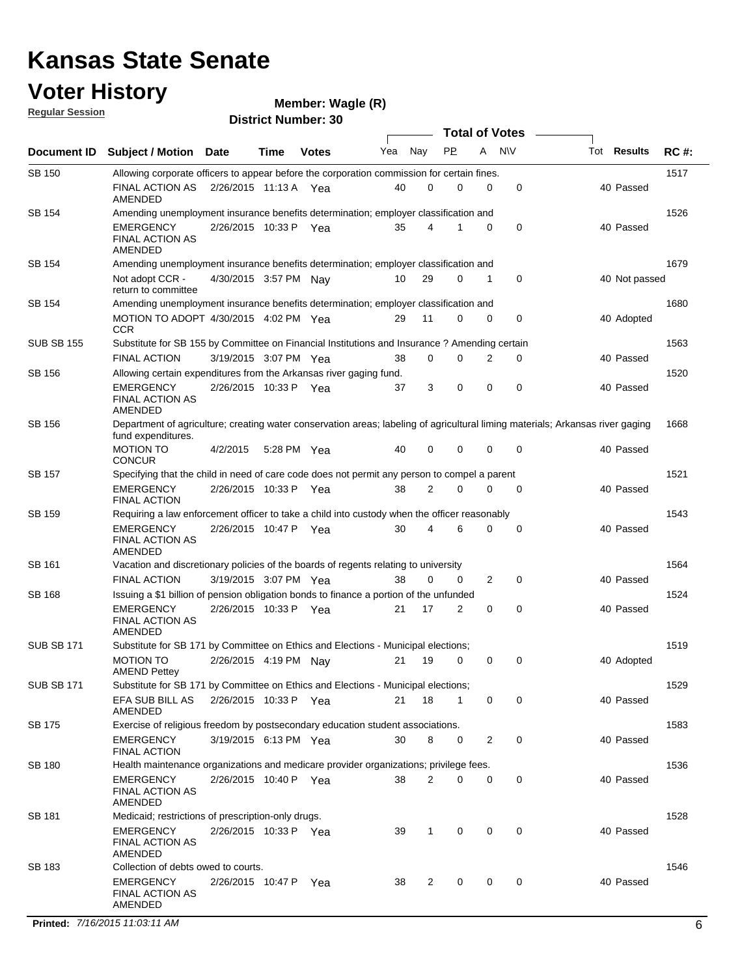### **Voter History**

#### **Wagle (R)**

**Regular Session**

**District Number: 30**

|                   |                                                                                                                                                      |                       |             |              |     |              | <b>Total of Votes</b> |                |             |             |               |             |
|-------------------|------------------------------------------------------------------------------------------------------------------------------------------------------|-----------------------|-------------|--------------|-----|--------------|-----------------------|----------------|-------------|-------------|---------------|-------------|
| Document ID       | <b>Subject / Motion Date</b>                                                                                                                         |                       | Time        | <b>Votes</b> | Yea | Nay          | PP.                   | A              | <b>NV</b>   | Tot Results |               | <b>RC#:</b> |
| <b>SB 150</b>     | Allowing corporate officers to appear before the corporation commission for certain fines.                                                           |                       |             |              |     |              |                       |                |             |             |               | 1517        |
|                   | FINAL ACTION AS<br>AMENDED                                                                                                                           | 2/26/2015 11:13 A Yea |             |              | 40  | 0            | 0                     | 0              | 0           | 40 Passed   |               |             |
| SB 154            | Amending unemployment insurance benefits determination; employer classification and                                                                  |                       |             |              |     |              |                       |                |             |             |               | 1526        |
|                   | EMERGENCY<br><b>FINAL ACTION AS</b><br>AMENDED                                                                                                       | 2/26/2015 10:33 P Yea |             |              | 35  | 4            |                       | 0              | 0           | 40 Passed   |               |             |
| SB 154            | Amending unemployment insurance benefits determination; employer classification and                                                                  |                       |             |              |     |              |                       |                |             |             |               | 1679        |
|                   | Not adopt CCR -<br>return to committee                                                                                                               | 4/30/2015 3:57 PM     |             | Nav          | 10  | 29           | 0                     | 1              | 0           |             | 40 Not passed |             |
| SB 154            | Amending unemployment insurance benefits determination; employer classification and                                                                  |                       |             |              |     |              |                       |                |             |             |               | 1680        |
|                   | MOTION TO ADOPT 4/30/2015 4:02 PM Yea<br><b>CCR</b>                                                                                                  |                       |             |              | 29  | 11           | $\Omega$              | 0              | 0           |             | 40 Adopted    |             |
| <b>SUB SB 155</b> | Substitute for SB 155 by Committee on Financial Institutions and Insurance? Amending certain                                                         |                       |             |              |     |              |                       |                |             |             |               | 1563        |
|                   | <b>FINAL ACTION</b>                                                                                                                                  | 3/19/2015 3:07 PM Yea |             |              | 38  | 0            | 0                     | 2              | 0           | 40 Passed   |               |             |
| SB 156            | Allowing certain expenditures from the Arkansas river gaging fund.                                                                                   |                       |             |              |     |              |                       |                |             |             |               | 1520        |
|                   | <b>EMERGENCY</b><br><b>FINAL ACTION AS</b><br>AMENDED                                                                                                | 2/26/2015 10:33 P Yea |             |              | 37  | 3            | 0                     | $\mathbf 0$    | $\mathbf 0$ | 40 Passed   |               |             |
| SB 156            | Department of agriculture; creating water conservation areas; labeling of agricultural liming materials; Arkansas river gaging<br>fund expenditures. |                       |             |              |     |              |                       |                |             |             |               | 1668        |
|                   | <b>MOTION TO</b><br><b>CONCUR</b>                                                                                                                    | 4/2/2015              | 5:28 PM Yea |              | 40  | 0            | 0                     | 0              | 0           |             | 40 Passed     |             |
| SB 157            | Specifying that the child in need of care code does not permit any person to compel a parent                                                         |                       |             |              |     |              |                       |                |             |             |               | 1521        |
|                   | <b>EMERGENCY</b><br><b>FINAL ACTION</b>                                                                                                              | 2/26/2015 10:33 P Yea |             |              | 38  | 2            | 0                     | 0              | $\mathbf 0$ | 40 Passed   |               |             |
| SB 159            | Requiring a law enforcement officer to take a child into custody when the officer reasonably                                                         |                       |             |              |     |              |                       |                |             |             |               | 1543        |
|                   | <b>EMERGENCY</b><br>FINAL ACTION AS<br>AMENDED                                                                                                       | 2/26/2015 10:47 P     |             | - Yea        | 30  | 4            | 6                     | 0              | 0           |             | 40 Passed     |             |
| SB 161            | Vacation and discretionary policies of the boards of regents relating to university                                                                  |                       |             |              |     |              |                       |                |             |             |               | 1564        |
|                   | <b>FINAL ACTION</b>                                                                                                                                  | 3/19/2015 3:07 PM Yea |             |              | 38  | 0            | 0                     | $\overline{2}$ | 0           | 40 Passed   |               |             |
| SB 168            | Issuing a \$1 billion of pension obligation bonds to finance a portion of the unfunded                                                               |                       |             |              |     |              |                       |                |             |             |               | 1524        |
|                   | <b>EMERGENCY</b><br><b>FINAL ACTION AS</b><br>AMENDED                                                                                                | 2/26/2015 10:33 P Yea |             |              | 21  | 17           | 2                     | 0              | 0           | 40 Passed   |               |             |
| <b>SUB SB 171</b> | Substitute for SB 171 by Committee on Ethics and Elections - Municipal elections;                                                                    |                       |             |              |     |              |                       |                |             |             |               | 1519        |
|                   | MOTION TO<br><b>AMEND Pettey</b>                                                                                                                     | 2/26/2015 4:19 PM Nay |             |              | 21  | 19           | 0                     | 0              | 0           |             | 40 Adopted    |             |
| <b>SUB SB 171</b> | Substitute for SB 171 by Committee on Ethics and Elections - Municipal elections;                                                                    |                       |             |              |     |              |                       |                |             |             |               | 1529        |
|                   | EFA SUB BILL AS<br>AMENDED                                                                                                                           | 2/26/2015 10:33 P Yea |             |              | 21  | 18           | 1                     | 0              | 0           | 40 Passed   |               |             |
| SB 175            | Exercise of religious freedom by postsecondary education student associations.                                                                       |                       |             |              |     |              |                       |                |             |             |               | 1583        |
|                   | <b>EMERGENCY</b><br><b>FINAL ACTION</b>                                                                                                              | 3/19/2015 6:13 PM Yea |             |              | 30  | 8            | 0                     | 2              | 0           | 40 Passed   |               |             |
| <b>SB 180</b>     | Health maintenance organizations and medicare provider organizations; privilege fees.                                                                |                       |             |              |     |              |                       |                |             |             |               | 1536        |
|                   | EMERGENCY<br><b>FINAL ACTION AS</b><br>AMENDED                                                                                                       | 2/26/2015 10:40 P Yea |             |              | 38  | 2            | 0                     | 0              | 0           | 40 Passed   |               |             |
| SB 181            | Medicaid; restrictions of prescription-only drugs.                                                                                                   |                       |             |              |     |              |                       |                |             |             |               | 1528        |
|                   | <b>EMERGENCY</b><br>FINAL ACTION AS<br>AMENDED                                                                                                       | 2/26/2015 10:33 P Yea |             |              | 39  | $\mathbf{1}$ | 0                     | 0              | 0           | 40 Passed   |               |             |
| SB 183            | Collection of debts owed to courts.                                                                                                                  |                       |             |              |     |              |                       |                |             |             |               | 1546        |
|                   | EMERGENCY<br><b>FINAL ACTION AS</b><br>AMENDED                                                                                                       | 2/26/2015 10:47 P Yea |             |              | 38  | 2            | 0                     | 0              | 0           | 40 Passed   |               |             |

**Printed:**  $7/16/2015$  11:03:11 AM 6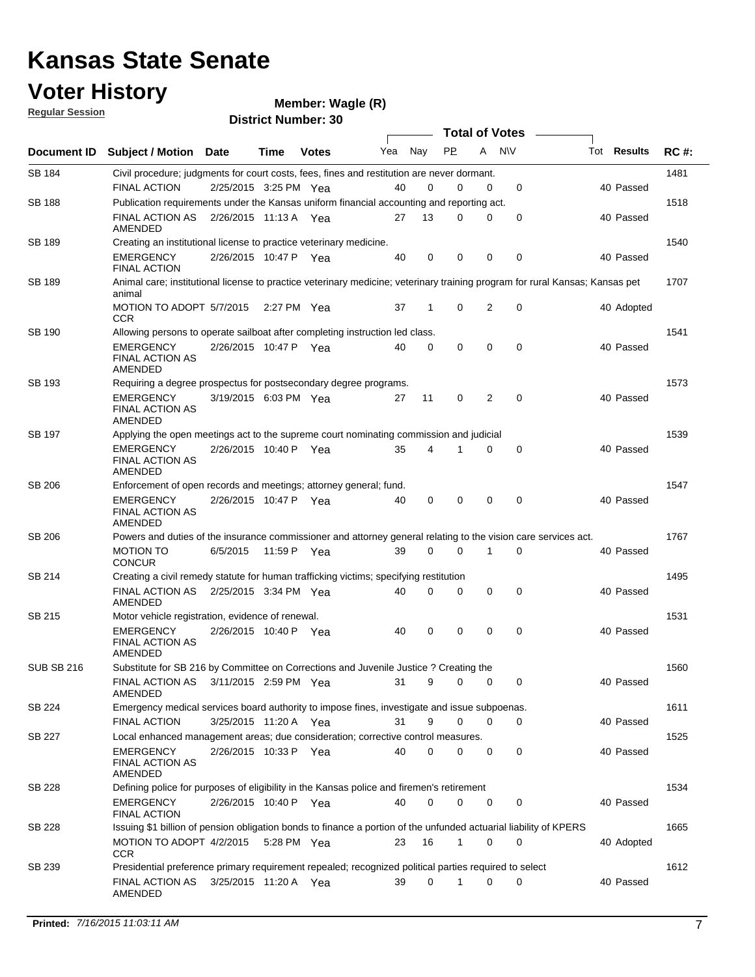### **Voter History**

**Regular Session**

| <u>noquial ocoolori</u> |                                                                                                                   |                       |             | <b>District Number: 30</b> |     |              |           |                |                  |                                                                                                                              |             |
|-------------------------|-------------------------------------------------------------------------------------------------------------------|-----------------------|-------------|----------------------------|-----|--------------|-----------|----------------|------------------|------------------------------------------------------------------------------------------------------------------------------|-------------|
|                         |                                                                                                                   |                       |             |                            |     |              |           |                | Total of Votes – |                                                                                                                              |             |
| Document ID             | <b>Subject / Motion Date</b>                                                                                      |                       | Time        | <b>Votes</b>               | Yea | Nay          | <b>PP</b> | A              | <b>NV</b>        | Tot <b>Results</b>                                                                                                           | <b>RC#:</b> |
| SB 184                  | Civil procedure; judgments for court costs, fees, fines and restitution are never dormant.                        |                       |             |                            |     |              |           |                |                  |                                                                                                                              | 1481        |
|                         | <b>FINAL ACTION</b>                                                                                               | 2/25/2015 3:25 PM Yea |             |                            | 40  | 0            | 0         | 0              | 0                | 40 Passed                                                                                                                    |             |
| <b>SB 188</b>           | Publication requirements under the Kansas uniform financial accounting and reporting act.                         |                       |             |                            |     |              |           |                |                  |                                                                                                                              | 1518        |
|                         | <b>FINAL ACTION AS</b><br>AMENDED                                                                                 | 2/26/2015 11:13 A Yea |             |                            | 27  | 13           | 0         | 0              | 0                | 40 Passed                                                                                                                    |             |
| SB 189                  | Creating an institutional license to practice veterinary medicine.                                                |                       |             |                            |     |              |           |                |                  |                                                                                                                              | 1540        |
|                         | <b>EMERGENCY</b><br><b>FINAL ACTION</b>                                                                           | 2/26/2015 10:47 P Yea |             |                            | 40  | 0            | 0         | 0              | $\mathbf 0$      | 40 Passed                                                                                                                    |             |
| SB 189                  | animal                                                                                                            |                       |             |                            |     |              |           |                |                  | Animal care; institutional license to practice veterinary medicine; veterinary training program for rural Kansas; Kansas pet | 1707        |
|                         | MOTION TO ADOPT 5/7/2015<br><b>CCR</b>                                                                            |                       | 2:27 PM Yea |                            | 37  | $\mathbf{1}$ | 0         | 2              | 0                | 40 Adopted                                                                                                                   |             |
| SB 190                  | Allowing persons to operate sailboat after completing instruction led class.                                      |                       |             |                            |     |              |           |                |                  |                                                                                                                              | 1541        |
|                         | <b>EMERGENCY</b><br><b>FINAL ACTION AS</b><br>AMENDED                                                             | 2/26/2015 10:47 P Yea |             |                            | 40  | 0            | $\Omega$  | 0              | $\mathbf 0$      | 40 Passed                                                                                                                    |             |
| SB 193                  | Requiring a degree prospectus for postsecondary degree programs.                                                  |                       |             |                            |     |              |           |                |                  |                                                                                                                              | 1573        |
|                         | <b>EMERGENCY</b><br><b>FINAL ACTION AS</b><br><b>AMENDED</b>                                                      | 3/19/2015 6:03 PM Yea |             |                            | 27  | 11           | 0         | $\overline{2}$ | $\mathbf 0$      | 40 Passed                                                                                                                    |             |
| SB 197                  | Applying the open meetings act to the supreme court nominating commission and judicial                            |                       |             |                            |     |              |           |                |                  |                                                                                                                              | 1539        |
|                         | <b>EMERGENCY</b><br><b>FINAL ACTION AS</b><br>AMENDED                                                             | 2/26/2015 10:40 P Yea |             |                            | 35  | 4            |           | 0              | 0                | 40 Passed                                                                                                                    |             |
| SB 206                  | Enforcement of open records and meetings; attorney general; fund.                                                 |                       |             |                            |     |              |           |                |                  |                                                                                                                              | 1547        |
|                         | <b>EMERGENCY</b><br><b>FINAL ACTION AS</b><br>AMENDED                                                             | 2/26/2015 10:47 P Yea |             |                            | 40  | 0            | 0         | $\mathbf 0$    | $\mathbf 0$      | 40 Passed                                                                                                                    |             |
| SB 206                  | Powers and duties of the insurance commissioner and attorney general relating to the vision care services act.    |                       |             |                            |     |              |           |                |                  |                                                                                                                              | 1767        |
|                         | <b>MOTION TO</b><br><b>CONCUR</b>                                                                                 | 6/5/2015              |             | 11:59 P Yea                | 39  | 0            | 0         | 1              | $\mathbf 0$      | 40 Passed                                                                                                                    |             |
| SB 214                  | Creating a civil remedy statute for human trafficking victims; specifying restitution                             |                       |             |                            |     |              |           |                |                  |                                                                                                                              | 1495        |
|                         | FINAL ACTION AS 2/25/2015 3:34 PM Yea<br>AMENDED                                                                  |                       |             |                            | 40  | $\Omega$     | 0         | $\mathbf 0$    | $\mathbf 0$      | 40 Passed                                                                                                                    |             |
| SB 215                  | Motor vehicle registration, evidence of renewal.                                                                  |                       |             |                            |     |              |           |                |                  |                                                                                                                              | 1531        |
|                         | <b>EMERGENCY</b><br><b>FINAL ACTION AS</b><br>AMENDED                                                             | 2/26/2015 10:40 P Yea |             |                            | 40  | 0            | 0         | $\mathbf 0$    | $\mathbf 0$      | 40 Passed                                                                                                                    |             |
| <b>SUB SB 216</b>       | Substitute for SB 216 by Committee on Corrections and Juvenile Justice ? Creating the                             |                       |             |                            |     |              |           |                |                  |                                                                                                                              | 1560        |
|                         | FINAL ACTION AS 3/11/2015 2:59 PM Yea<br><b>AMENDED</b>                                                           |                       |             |                            | 31  | 9            | 0         | 0              | 0                | 40 Passed                                                                                                                    |             |
| SB 224                  | Emergency medical services board authority to impose fines, investigate and issue subpoenas.                      |                       |             |                            |     |              |           |                |                  |                                                                                                                              | 1611        |
|                         | <b>FINAL ACTION</b>                                                                                               | 3/25/2015 11:20 A Yea |             |                            | 31  | 9            | 0         | 0              | $\mathbf 0$      | 40 Passed                                                                                                                    |             |
| SB 227                  | Local enhanced management areas; due consideration; corrective control measures.                                  |                       |             |                            |     |              |           |                |                  |                                                                                                                              | 1525        |
|                         | <b>EMERGENCY</b><br><b>FINAL ACTION AS</b><br>AMENDED                                                             | 2/26/2015 10:33 P Yea |             |                            | 40  | $\Omega$     | 0         | 0              | 0                | 40 Passed                                                                                                                    |             |
| SB 228                  | Defining police for purposes of eligibility in the Kansas police and firemen's retirement                         |                       |             |                            |     |              |           |                |                  |                                                                                                                              | 1534        |
|                         | <b>EMERGENCY</b><br><b>FINAL ACTION</b>                                                                           | 2/26/2015 10:40 P Yea |             |                            | 40  | 0            | 0         | 0              | 0                | 40 Passed                                                                                                                    |             |
| SB 228                  | Issuing \$1 billion of pension obligation bonds to finance a portion of the unfunded actuarial liability of KPERS |                       |             |                            |     |              |           |                |                  |                                                                                                                              | 1665        |
|                         | MOTION TO ADOPT 4/2/2015 5:28 PM Yea<br>CCR                                                                       |                       |             |                            | 23  | 16           | 1         | 0              | 0                | 40 Adopted                                                                                                                   |             |
| SB 239                  | Presidential preference primary requirement repealed; recognized political parties required to select             |                       |             |                            |     |              |           |                |                  |                                                                                                                              | 1612        |
|                         | FINAL ACTION AS 3/25/2015 11:20 A Yea<br>AMENDED                                                                  |                       |             |                            | 39  | $\mathbf 0$  | 1         | 0              | 0                | 40 Passed                                                                                                                    |             |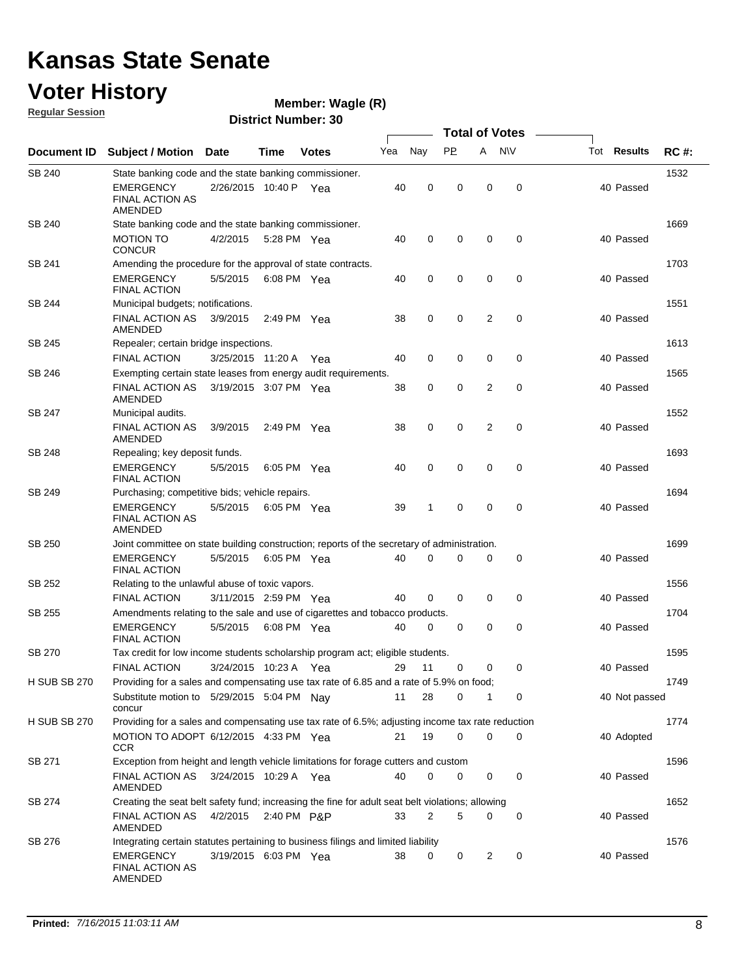### **Voter History**

**Wagle (R)**

**Regular Session**

|                     |                                                                                                                                                 |                       |             |              |     |             | <b>Total of Votes</b> |             |             |                    |             |
|---------------------|-------------------------------------------------------------------------------------------------------------------------------------------------|-----------------------|-------------|--------------|-----|-------------|-----------------------|-------------|-------------|--------------------|-------------|
| <b>Document ID</b>  | <b>Subject / Motion</b>                                                                                                                         | <b>Date</b>           | Time        | <b>Votes</b> | Yea | Nay         | PP.                   | A           | <b>NV</b>   | Tot <b>Results</b> | <b>RC#:</b> |
| SB 240              | State banking code and the state banking commissioner.                                                                                          |                       |             |              |     |             |                       |             |             |                    | 1532        |
|                     | EMERGENCY<br>FINAL ACTION AS<br>AMENDED                                                                                                         | 2/26/2015 10:40 P Yea |             |              | 40  | 0           | 0                     | $\mathbf 0$ | 0           | 40 Passed          |             |
| SB 240              | State banking code and the state banking commissioner.                                                                                          |                       |             |              |     |             |                       |             |             |                    | 1669        |
|                     | MOTION TO<br><b>CONCUR</b>                                                                                                                      | 4/2/2015              | 5:28 PM Yea |              | 40  | 0           | $\mathbf 0$           | $\mathbf 0$ | 0           | 40 Passed          |             |
| SB 241              | Amending the procedure for the approval of state contracts.                                                                                     |                       |             |              |     |             |                       |             |             |                    | 1703        |
|                     | EMERGENCY<br><b>FINAL ACTION</b>                                                                                                                | 5/5/2015              | 6:08 PM Yea |              | 40  | 0           | 0                     | 0           | $\mathbf 0$ | 40 Passed          |             |
| SB 244              | Municipal budgets; notifications.                                                                                                               |                       |             |              |     |             |                       |             |             |                    | 1551        |
|                     | <b>FINAL ACTION AS</b><br>AMENDED                                                                                                               | 3/9/2015              | 2:49 PM Yea |              | 38  | 0           | 0                     | 2           | 0           | 40 Passed          |             |
| SB 245              | Repealer; certain bridge inspections.                                                                                                           |                       |             |              |     |             |                       |             |             |                    | 1613        |
|                     | <b>FINAL ACTION</b>                                                                                                                             | 3/25/2015 11:20 A Yea |             |              | 40  | 0           | 0                     | $\mathbf 0$ | 0           | 40 Passed          |             |
| SB 246              | Exempting certain state leases from energy audit requirements.                                                                                  |                       |             |              |     |             |                       |             |             |                    | 1565        |
|                     | <b>FINAL ACTION AS</b><br>AMENDED                                                                                                               | 3/19/2015 3:07 PM Yea |             |              | 38  | 0           | 0                     | 2           | 0           | 40 Passed          |             |
| SB 247              | Municipal audits.                                                                                                                               |                       |             |              |     |             |                       |             |             |                    | 1552        |
|                     | <b>FINAL ACTION AS</b><br>AMENDED                                                                                                               | 3/9/2015              | 2:49 PM Yea |              | 38  | $\mathbf 0$ | 0                     | 2           | $\mathbf 0$ | 40 Passed          |             |
| SB 248              | Repealing; key deposit funds.                                                                                                                   |                       |             |              |     |             |                       |             |             |                    | 1693        |
|                     | <b>EMERGENCY</b><br><b>FINAL ACTION</b>                                                                                                         | 5/5/2015              | 6:05 PM Yea |              | 40  | 0           | 0                     | $\mathbf 0$ | $\mathbf 0$ | 40 Passed          |             |
| SB 249              | Purchasing; competitive bids; vehicle repairs.                                                                                                  |                       |             |              |     |             |                       |             |             |                    | 1694        |
|                     | <b>EMERGENCY</b><br>FINAL ACTION AS<br>AMENDED                                                                                                  | 5/5/2015              | 6:05 PM Yea |              | 39  | 1           | 0                     | $\mathbf 0$ | 0           | 40 Passed          |             |
| SB 250              | Joint committee on state building construction; reports of the secretary of administration.                                                     |                       |             |              |     |             |                       |             |             |                    | 1699        |
|                     | <b>EMERGENCY</b><br><b>FINAL ACTION</b>                                                                                                         | 5/5/2015              | 6:05 PM Yea |              | 40  | $\Omega$    | 0                     | 0           | 0           | 40 Passed          |             |
| SB 252              | Relating to the unlawful abuse of toxic vapors.                                                                                                 |                       |             |              |     |             |                       |             |             |                    | 1556        |
|                     | <b>FINAL ACTION</b>                                                                                                                             | 3/11/2015 2:59 PM Yea |             |              | 40  | 0           | 0                     | 0           | 0           | 40 Passed          |             |
| SB 255              | Amendments relating to the sale and use of cigarettes and tobacco products.                                                                     |                       |             |              |     |             |                       |             |             |                    | 1704        |
|                     | EMERGENCY<br><b>FINAL ACTION</b>                                                                                                                | 5/5/2015              | 6:08 PM Yea |              | 40  | 0           | 0                     | 0           | 0           | 40 Passed          |             |
| SB 270              | Tax credit for low income students scholarship program act; eligible students.                                                                  |                       |             |              |     |             |                       |             |             |                    | 1595        |
|                     | <b>FINAL ACTION</b>                                                                                                                             | 3/24/2015 10:23 A Yea |             |              | 29  | 11          | 0                     | 0           | 0           | 40 Passed          |             |
| <b>H SUB SB 270</b> | Providing for a sales and compensating use tax rate of 6.85 and a rate of 5.9% on food;<br>Substitute motion to 5/29/2015 5:04 PM Nay<br>concur |                       |             |              | 11  | 28          | 0                     | 1           | 0           | 40 Not passed      | 1749        |
| <b>H SUB SB 270</b> | Providing for a sales and compensating use tax rate of 6.5%; adjusting income tax rate reduction                                                |                       |             |              |     |             |                       |             |             |                    | 1774        |
|                     | MOTION TO ADOPT 6/12/2015 4:33 PM Yea<br>CCR                                                                                                    |                       |             |              | 21  | 19          | 0                     | $\mathbf 0$ | 0           | 40 Adopted         |             |
| SB 271              | Exception from height and length vehicle limitations for forage cutters and custom                                                              |                       |             |              |     |             |                       |             |             |                    | 1596        |
|                     | FINAL ACTION AS 3/24/2015 10:29 A Yea<br>AMENDED                                                                                                |                       |             |              | 40  | 0           | 0                     | 0           | 0           | 40 Passed          |             |
| SB 274              | Creating the seat belt safety fund; increasing the fine for adult seat belt violations; allowing                                                |                       |             |              |     |             |                       |             |             |                    | 1652        |
|                     | FINAL ACTION AS<br>AMENDED                                                                                                                      | 4/2/2015 2:40 PM P&P  |             |              | 33  | 2           | 5                     | 0           | 0           | 40 Passed          |             |
| SB 276              | Integrating certain statutes pertaining to business filings and limited liability                                                               |                       |             |              |     |             |                       |             |             |                    | 1576        |
|                     | EMERGENCY<br><b>FINAL ACTION AS</b><br>AMENDED                                                                                                  | 3/19/2015 6:03 PM Yea |             |              | 38  | 0           | 0                     | 2           | 0           | 40 Passed          |             |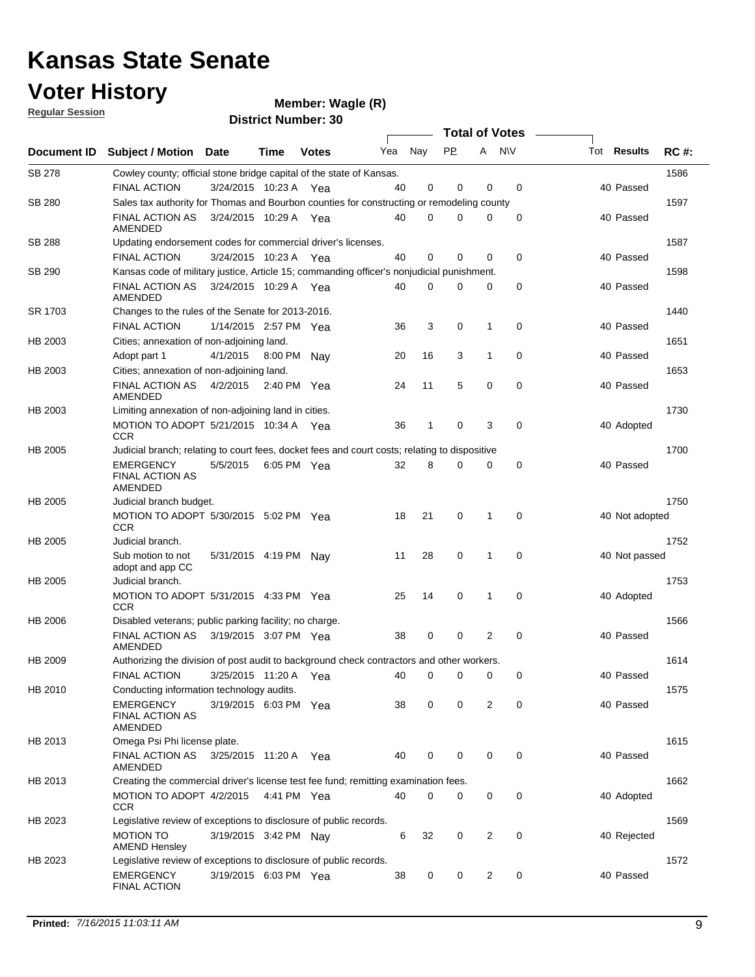### **Voter History**

| <b>Regular Session</b> |                                                                                               |                       |             | $m$ e $m$ ulue $n$ . $m$ ay $m \in \{N\}$<br><b>District Number: 30</b> |     |     |                       |                |             |                    |             |
|------------------------|-----------------------------------------------------------------------------------------------|-----------------------|-------------|-------------------------------------------------------------------------|-----|-----|-----------------------|----------------|-------------|--------------------|-------------|
|                        |                                                                                               |                       |             |                                                                         |     |     | <b>Total of Votes</b> |                |             |                    |             |
| <b>Document ID</b>     | Subject / Motion                                                                              | <b>Date</b>           | Time        | <b>Votes</b>                                                            | Yea | Nay | <b>PP</b>             |                | A NW        | Tot <b>Results</b> | <b>RC#:</b> |
| <b>SB 278</b>          | Cowley county; official stone bridge capital of the state of Kansas.                          |                       |             |                                                                         |     |     |                       |                |             |                    | 1586        |
|                        | <b>FINAL ACTION</b>                                                                           | 3/24/2015 10:23 A Yea |             |                                                                         | 40  | 0   | 0                     | 0              | 0           | 40 Passed          |             |
| SB 280                 | Sales tax authority for Thomas and Bourbon counties for constructing or remodeling county     |                       |             |                                                                         |     |     |                       |                |             |                    | 1597        |
|                        | <b>FINAL ACTION AS</b><br>AMENDED                                                             | 3/24/2015 10:29 A Yea |             |                                                                         | 40  | 0   | n                     | 0              | 0           | 40 Passed          |             |
| <b>SB 288</b>          | Updating endorsement codes for commercial driver's licenses.                                  |                       |             |                                                                         |     |     |                       |                |             |                    | 1587        |
|                        | <b>FINAL ACTION</b>                                                                           | 3/24/2015 10:23 A     |             | Yea                                                                     | 40  | 0   | $\mathbf 0$           | 0              | 0           | 40 Passed          |             |
| SB 290                 | Kansas code of military justice, Article 15; commanding officer's nonjudicial punishment.     |                       |             |                                                                         |     |     |                       |                |             |                    | 1598        |
|                        | <b>FINAL ACTION AS</b><br>AMENDED                                                             | 3/24/2015 10:29 A Yea |             |                                                                         | 40  | 0   | $\Omega$              | 0              | 0           | 40 Passed          |             |
| SR 1703                | Changes to the rules of the Senate for 2013-2016.                                             |                       |             |                                                                         |     |     |                       |                |             |                    | 1440        |
|                        | <b>FINAL ACTION</b>                                                                           | 1/14/2015 2:57 PM Yea |             |                                                                         | 36  | 3   | 0                     | 1              | 0           | 40 Passed          |             |
| HB 2003                | Cities; annexation of non-adjoining land.                                                     |                       |             |                                                                         |     |     |                       |                |             |                    | 1651        |
|                        | Adopt part 1                                                                                  | 4/1/2015              | 8:00 PM Nay |                                                                         | 20  | 16  | 3                     | 1              | 0           | 40 Passed          |             |
| HB 2003                | Cities; annexation of non-adjoining land.                                                     |                       |             |                                                                         |     |     |                       |                |             |                    | 1653        |
|                        | <b>FINAL ACTION AS</b><br>AMENDED                                                             | 4/2/2015              | 2:40 PM Yea |                                                                         | 24  | 11  | 5                     | 0              | $\mathbf 0$ | 40 Passed          |             |
| HB 2003                | Limiting annexation of non-adjoining land in cities.                                          |                       |             |                                                                         |     |     |                       |                |             |                    | 1730        |
|                        | MOTION TO ADOPT 5/21/2015 10:34 A Yea<br><b>CCR</b>                                           |                       |             |                                                                         | 36  | 1   | 0                     | 3              | 0           | 40 Adopted         |             |
| <b>HB 2005</b>         | Judicial branch; relating to court fees, docket fees and court costs; relating to dispositive |                       |             |                                                                         |     |     |                       |                |             |                    | 1700        |
|                        | <b>EMERGENCY</b><br><b>FINAL ACTION AS</b><br>AMENDED                                         | 5/5/2015              |             | 6:05 PM Yea                                                             | 32  | 8   | $\Omega$              | $\mathbf 0$    | 0           | 40 Passed          |             |
| <b>HB 2005</b>         | Judicial branch budget.                                                                       |                       |             |                                                                         |     |     |                       |                |             |                    | 1750        |
|                        | MOTION TO ADOPT 5/30/2015 5:02 PM Yea<br><b>CCR</b>                                           |                       |             |                                                                         | 18  | 21  | 0                     | 1              | 0           | 40 Not adopted     |             |
| HB 2005                | Judicial branch.                                                                              |                       |             |                                                                         |     |     |                       |                |             |                    | 1752        |
|                        | Sub motion to not<br>adopt and app CC                                                         | 5/31/2015 4:19 PM Nav |             |                                                                         | 11  | 28  | 0                     | 1              | 0           | 40 Not passed      |             |
| <b>HB 2005</b>         | Judicial branch.                                                                              |                       |             |                                                                         |     |     |                       |                |             |                    | 1753        |
|                        | MOTION TO ADOPT 5/31/2015 4:33 PM Yea<br><b>CCR</b>                                           |                       |             |                                                                         | 25  | 14  | 0                     | 1              | $\mathbf 0$ | 40 Adopted         |             |
| HB 2006                | Disabled veterans; public parking facility; no charge.                                        |                       |             |                                                                         |     |     |                       |                |             |                    | 1566        |
|                        | <b>FINAL ACTION AS</b><br>AMENDED                                                             | 3/19/2015 3:07 PM Yea |             |                                                                         | 38  | 0   | 0                     | 2              | 0           | 40 Passed          |             |
| HB 2009                | Authorizing the division of post audit to background check contractors and other workers.     |                       |             |                                                                         |     |     |                       |                |             |                    | 1614        |
|                        | FINAL ACTION                                                                                  | 3/25/2015 11:20 A     |             | Yea                                                                     | 40  | 0   | 0                     | 0              | 0           | 40 Passed          |             |
| HB 2010                | Conducting information technology audits.                                                     |                       |             |                                                                         |     |     |                       |                |             |                    | 1575        |
|                        | <b>EMERGENCY</b><br><b>FINAL ACTION AS</b><br>AMENDED                                         | 3/19/2015 6:03 PM Yea |             |                                                                         | 38  | 0   | 0                     | 2              | 0           | 40 Passed          |             |
| HB 2013                | Omega Psi Phi license plate.                                                                  |                       |             |                                                                         |     |     |                       |                |             |                    | 1615        |
|                        | <b>FINAL ACTION AS</b><br>AMENDED                                                             | 3/25/2015 11:20 A Yea |             |                                                                         | 40  | 0   | 0                     | 0              | $\mathbf 0$ | 40 Passed          |             |
| HB 2013                | Creating the commercial driver's license test fee fund; remitting examination fees.           |                       |             |                                                                         |     |     |                       |                |             |                    | 1662        |
|                        | MOTION TO ADOPT 4/2/2015<br>CCR                                                               |                       |             | 4:41 PM Yea                                                             | 40  | 0   | 0                     | 0              | 0           | 40 Adopted         |             |
| HB 2023                | Legislative review of exceptions to disclosure of public records.                             |                       |             |                                                                         |     |     |                       |                |             |                    | 1569        |
|                        | <b>MOTION TO</b><br><b>AMEND Hensley</b>                                                      | 3/19/2015 3:42 PM Nay |             |                                                                         | 6   | 32  | 0                     | $\overline{c}$ | 0           | 40 Rejected        |             |
| HB 2023                | Legislative review of exceptions to disclosure of public records.                             |                       |             |                                                                         |     |     |                       |                |             |                    | 1572        |
|                        | <b>EMERGENCY</b><br><b>FINAL ACTION</b>                                                       | 3/19/2015 6:03 PM Yea |             |                                                                         | 38  | 0   | 0                     | 2              | 0           | 40 Passed          |             |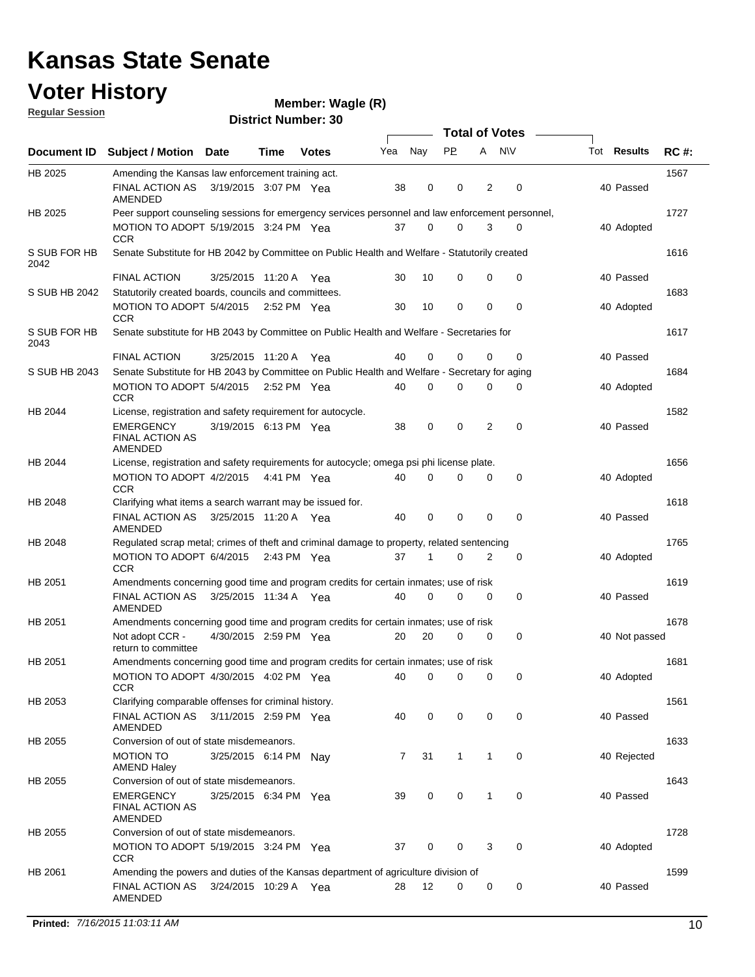### **Voter History**

**Wagle (R)**

**Regular Session**

|                      |                                                                                                  |                       |             |              |     |     | <b>Total of Votes</b> |              |             |                    |             |
|----------------------|--------------------------------------------------------------------------------------------------|-----------------------|-------------|--------------|-----|-----|-----------------------|--------------|-------------|--------------------|-------------|
|                      | Document ID Subject / Motion Date                                                                |                       | Time        | <b>Votes</b> | Yea | Nay | PP.                   | A NW         |             | Tot <b>Results</b> | <b>RC#:</b> |
| HB 2025              | Amending the Kansas law enforcement training act.                                                |                       |             |              |     |     |                       |              |             |                    | 1567        |
|                      | FINAL ACTION AS<br>AMENDED                                                                       | 3/19/2015 3:07 PM Yea |             |              | 38  | 0   | 0                     | 2            | 0           | 40 Passed          |             |
| <b>HB 2025</b>       | Peer support counseling sessions for emergency services personnel and law enforcement personnel, |                       |             |              |     |     |                       |              |             |                    | 1727        |
|                      | MOTION TO ADOPT 5/19/2015 3:24 PM Yea<br><b>CCR</b>                                              |                       |             |              | 37  | 0   | 0                     | 3            | 0           | 40 Adopted         |             |
| S SUB FOR HB<br>2042 | Senate Substitute for HB 2042 by Committee on Public Health and Welfare - Statutorily created    |                       |             |              |     |     |                       |              |             |                    | 1616        |
|                      | <b>FINAL ACTION</b>                                                                              | 3/25/2015 11:20 A Yea |             |              | 30  | 10  | 0                     | 0            | 0           | 40 Passed          |             |
| S SUB HB 2042        | Statutorily created boards, councils and committees.                                             |                       |             |              |     |     |                       |              |             |                    | 1683        |
|                      | MOTION TO ADOPT 5/4/2015 2:52 PM Yea<br><b>CCR</b>                                               |                       |             |              | 30  | 10  | 0                     | 0            | 0           | 40 Adopted         |             |
| S SUB FOR HB<br>2043 | Senate substitute for HB 2043 by Committee on Public Health and Welfare - Secretaries for        |                       |             |              |     |     |                       |              |             |                    | 1617        |
|                      | <b>FINAL ACTION</b>                                                                              | 3/25/2015 11:20 A Yea |             |              | 40  | 0   | 0                     | 0            | 0           | 40 Passed          |             |
| S SUB HB 2043        | Senate Substitute for HB 2043 by Committee on Public Health and Welfare - Secretary for aging    |                       |             |              |     |     |                       |              |             |                    | 1684        |
|                      | MOTION TO ADOPT 5/4/2015 2:52 PM Yea<br><b>CCR</b>                                               |                       |             |              | 40  | 0   | $\Omega$              | 0            | 0           | 40 Adopted         |             |
| HB 2044              | License, registration and safety requirement for autocycle.                                      |                       |             |              |     |     |                       |              |             |                    | 1582        |
|                      | <b>EMERGENCY</b><br><b>FINAL ACTION AS</b><br>AMENDED                                            | 3/19/2015 6:13 PM Yea |             |              | 38  | 0   | 0                     | 2            | 0           | 40 Passed          |             |
| HB 2044              | License, registration and safety requirements for autocycle; omega psi phi license plate.        |                       |             |              |     |     |                       |              |             |                    | 1656        |
|                      | MOTION TO ADOPT 4/2/2015 4:41 PM Yea<br><b>CCR</b>                                               |                       |             |              | 40  | 0   | 0                     | 0            | 0           | 40 Adopted         |             |
| HB 2048              | Clarifying what items a search warrant may be issued for.                                        |                       |             |              |     |     |                       |              |             |                    | 1618        |
|                      | FINAL ACTION AS<br>AMENDED                                                                       | 3/25/2015 11:20 A Yea |             |              | 40  | 0   | 0                     | 0            | $\mathbf 0$ | 40 Passed          |             |
| HB 2048              | Regulated scrap metal; crimes of theft and criminal damage to property, related sentencing       |                       |             |              |     |     |                       |              |             |                    | 1765        |
|                      | MOTION TO ADOPT 6/4/2015<br><b>CCR</b>                                                           |                       | 2:43 PM Yea |              | 37  | 1   | 0                     | 2            | 0           | 40 Adopted         |             |
| HB 2051              | Amendments concerning good time and program credits for certain inmates; use of risk             |                       |             |              |     |     |                       |              |             |                    | 1619        |
|                      | FINAL ACTION AS<br><b>AMENDED</b>                                                                | 3/25/2015 11:34 A Yea |             |              | 40  | 0   | 0                     | 0            | 0           | 40 Passed          |             |
| HB 2051              | Amendments concerning good time and program credits for certain inmates; use of risk             |                       |             |              |     |     |                       |              |             |                    | 1678        |
|                      | Not adopt CCR -<br>return to committee                                                           | 4/30/2015 2:59 PM Yea |             |              | 20  | 20  | 0                     | 0            | 0           | 40 Not passed      |             |
| HB 2051              | Amendments concerning good time and program credits for certain inmates; use of risk             |                       |             |              |     |     |                       |              |             |                    | 1681        |
|                      | MOTION TO ADOPT 4/30/2015 4:02 PM Yea<br><b>CCR</b>                                              |                       |             |              | 40  | 0   | 0                     | 0            | 0           | 40 Adopted         |             |
| HB 2053              | Clarifying comparable offenses for criminal history.                                             |                       |             |              |     |     |                       |              |             |                    | 1561        |
|                      | FINAL ACTION AS<br>AMENDED                                                                       | 3/11/2015 2:59 PM Yea |             |              | 40  | 0   | 0                     | 0            | $\mathbf 0$ | 40 Passed          |             |
| HB 2055              | Conversion of out of state misdemeanors.                                                         |                       |             |              |     |     |                       |              |             |                    | 1633        |
|                      | <b>MOTION TO</b><br><b>AMEND Haley</b>                                                           | 3/25/2015 6:14 PM Nay |             |              | 7   | 31  | $\mathbf{1}$          | $\mathbf{1}$ | 0           | 40 Rejected        |             |
| HB 2055              | Conversion of out of state misdemeanors.                                                         |                       |             |              |     |     |                       |              |             |                    | 1643        |
|                      | <b>EMERGENCY</b><br><b>FINAL ACTION AS</b><br>AMENDED                                            | 3/25/2015 6:34 PM Yea |             |              | 39  | 0   | 0                     | 1            | $\mathbf 0$ | 40 Passed          |             |
| HB 2055              | Conversion of out of state misdemeanors.                                                         |                       |             |              |     |     |                       |              |             |                    | 1728        |
|                      | MOTION TO ADOPT 5/19/2015 3:24 PM Yea<br><b>CCR</b>                                              |                       |             |              | 37  | 0   | 0                     | 3            | 0           | 40 Adopted         |             |
| HB 2061              | Amending the powers and duties of the Kansas department of agriculture division of               |                       |             |              |     |     |                       |              |             |                    | 1599        |
|                      | <b>FINAL ACTION AS</b><br>AMENDED                                                                | 3/24/2015 10:29 A Yea |             |              | 28  | 12  | 0                     | 0            | 0           | 40 Passed          |             |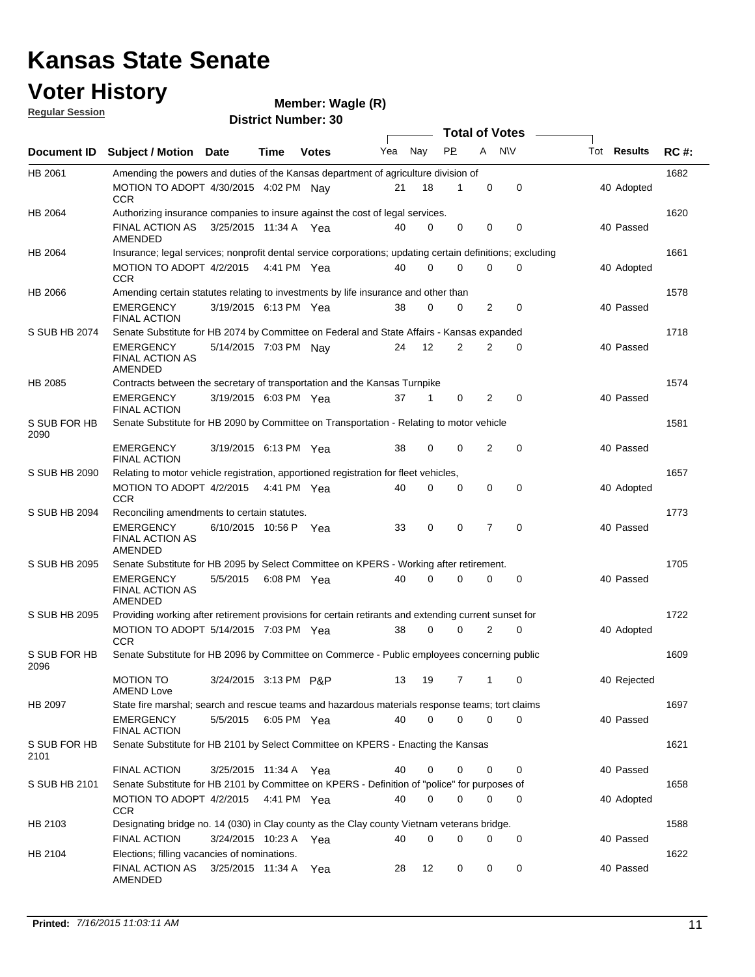### **Voter History Regular Session**

| <u>noquial ocoolori</u> |                                                                                                           |                          |             | <b>District Number: 30</b> |     |             |           |   |                  |                    |             |
|-------------------------|-----------------------------------------------------------------------------------------------------------|--------------------------|-------------|----------------------------|-----|-------------|-----------|---|------------------|--------------------|-------------|
|                         |                                                                                                           |                          |             |                            |     |             |           |   | Total of Votes – |                    |             |
| <b>Document ID</b>      | Subject / Motion Date                                                                                     |                          | <b>Time</b> | <b>Votes</b>               | Yea | Nay         | <b>PP</b> | Α | <b>NV</b>        | Tot <b>Results</b> | <b>RC#:</b> |
| HB 2061                 | Amending the powers and duties of the Kansas department of agriculture division of                        |                          |             |                            |     |             |           |   |                  |                    | 1682        |
|                         | MOTION TO ADOPT 4/30/2015 4:02 PM Nav<br><b>CCR</b>                                                       |                          |             |                            | 21  | 18          | 1         | 0 | 0                | 40 Adopted         |             |
| HB 2064                 | Authorizing insurance companies to insure against the cost of legal services.                             |                          |             |                            |     |             |           |   |                  |                    | 1620        |
|                         | <b>FINAL ACTION AS</b><br>AMENDED                                                                         | 3/25/2015 11:34 A Yea    |             |                            | 40  | $\Omega$    | 0         | 0 | 0                | 40 Passed          |             |
| HB 2064                 | Insurance; legal services; nonprofit dental service corporations; updating certain definitions; excluding |                          |             |                            |     |             |           |   |                  |                    | 1661        |
|                         | MOTION TO ADOPT 4/2/2015<br>CCR                                                                           |                          |             | 4:41 PM Yea                | 40  | $\mathbf 0$ | 0         | 0 | 0                | 40 Adopted         |             |
| HB 2066                 | Amending certain statutes relating to investments by life insurance and other than                        |                          |             |                            |     |             |           |   |                  |                    | 1578        |
|                         | <b>EMERGENCY</b><br><b>FINAL ACTION</b>                                                                   | 3/19/2015 6:13 PM Yea    |             |                            | 38  | 0           | 0         | 2 | 0                | 40 Passed          |             |
| S SUB HB 2074           | Senate Substitute for HB 2074 by Committee on Federal and State Affairs - Kansas expanded                 |                          |             |                            |     |             |           |   |                  |                    | 1718        |
|                         | <b>EMERGENCY</b><br><b>FINAL ACTION AS</b><br>AMENDED                                                     | 5/14/2015 7:03 PM Nay    |             |                            | 24  | 12          | 2         | 2 | 0                | 40 Passed          |             |
| <b>HB 2085</b>          | Contracts between the secretary of transportation and the Kansas Turnpike                                 |                          |             |                            |     |             |           |   |                  |                    | 1574        |
|                         | <b>EMERGENCY</b><br><b>FINAL ACTION</b>                                                                   | 3/19/2015 6:03 PM Yea    |             |                            | 37  | 1           | 0         | 2 | $\mathbf 0$      | 40 Passed          |             |
| S SUB FOR HB<br>2090    | Senate Substitute for HB 2090 by Committee on Transportation - Relating to motor vehicle                  |                          |             |                            |     |             |           |   |                  |                    | 1581        |
|                         | <b>EMERGENCY</b><br><b>FINAL ACTION</b>                                                                   | 3/19/2015 6:13 PM Yea    |             |                            | 38  | $\Omega$    | 0         | 2 | $\mathbf 0$      | 40 Passed          |             |
| S SUB HB 2090           | Relating to motor vehicle registration, apportioned registration for fleet vehicles,                      |                          |             |                            |     |             |           |   |                  |                    | 1657        |
|                         | MOTION TO ADOPT 4/2/2015<br><b>CCR</b>                                                                    |                          |             | 4:41 PM Yea                | 40  | $\Omega$    | 0         | 0 | 0                | 40 Adopted         |             |
| S SUB HB 2094           | Reconciling amendments to certain statutes.                                                               |                          |             |                            |     |             |           |   |                  |                    | 1773        |
|                         | <b>EMERGENCY</b><br><b>FINAL ACTION AS</b><br>AMENDED                                                     | 6/10/2015 10:56 P        |             | Yea                        | 33  | 0           | 0         | 7 | $\mathbf 0$      | 40 Passed          |             |
| S SUB HB 2095           | Senate Substitute for HB 2095 by Select Committee on KPERS - Working after retirement.                    |                          |             |                            |     |             |           |   |                  |                    | 1705        |
|                         | <b>EMERGENCY</b><br><b>FINAL ACTION AS</b><br>AMENDED                                                     | 5/5/2015                 |             | 6:08 PM Yea                | 40  | $\Omega$    | 0         | 0 | 0                | 40 Passed          |             |
| S SUB HB 2095           | Providing working after retirement provisions for certain retirants and extending current sunset for      |                          |             |                            |     |             |           |   |                  |                    | 1722        |
|                         | MOTION TO ADOPT 5/14/2015 7:03 PM Yea<br><b>CCR</b>                                                       |                          |             |                            | 38  | 0           | 0         | 2 | 0                | 40 Adopted         |             |
| S SUB FOR HB<br>2096    | Senate Substitute for HB 2096 by Committee on Commerce - Public employees concerning public               |                          |             |                            |     |             |           |   |                  |                    | 1609        |
|                         | <b>MOTION TO</b><br><b>AMEND Love</b>                                                                     | 3/24/2015 3:13 PM P&P    |             |                            | 13  | 19          | 7         | 1 | 0                | 40 Rejected        |             |
| HB 2097                 | State fire marshal; search and rescue teams and hazardous materials response teams; tort claims           |                          |             |                            |     |             |           |   |                  |                    | 1697        |
|                         | <b>EMERGENCY</b><br><b>FINAL ACTION</b>                                                                   | 5/5/2015 6:05 PM Yea     |             |                            | 40  | 0           | 0         | 0 | 0                | 40 Passed          |             |
| S SUB FOR HB<br>2101    | Senate Substitute for HB 2101 by Select Committee on KPERS - Enacting the Kansas                          |                          |             |                            |     |             |           |   |                  |                    | 1621        |
|                         | FINAL ACTION                                                                                              | 3/25/2015  11:34 A   Yea |             |                            | 40  | 0           | 0         | 0 | 0                | 40 Passed          |             |
| S SUB HB 2101           | Senate Substitute for HB 2101 by Committee on KPERS - Definition of "police" for purposes of              |                          |             |                            |     |             |           |   |                  |                    | 1658        |
|                         | MOTION TO ADOPT 4/2/2015 4:41 PM Yea<br><b>CCR</b>                                                        |                          |             |                            | 40  | 0           | 0         | 0 | 0                | 40 Adopted         |             |
| HB 2103                 | Designating bridge no. 14 (030) in Clay county as the Clay county Vietnam veterans bridge.                |                          |             |                            |     |             |           |   |                  |                    | 1588        |
| HB 2104                 | <b>FINAL ACTION</b><br>Elections; filling vacancies of nominations.                                       | 3/24/2015 10:23 A Yea    |             |                            | 40  | 0           | 0         | 0 | 0                | 40 Passed          | 1622        |
|                         | FINAL ACTION AS<br>AMENDED                                                                                | 3/25/2015 11:34 A Yea    |             |                            | 28  | 12          | 0         | 0 | 0                | 40 Passed          |             |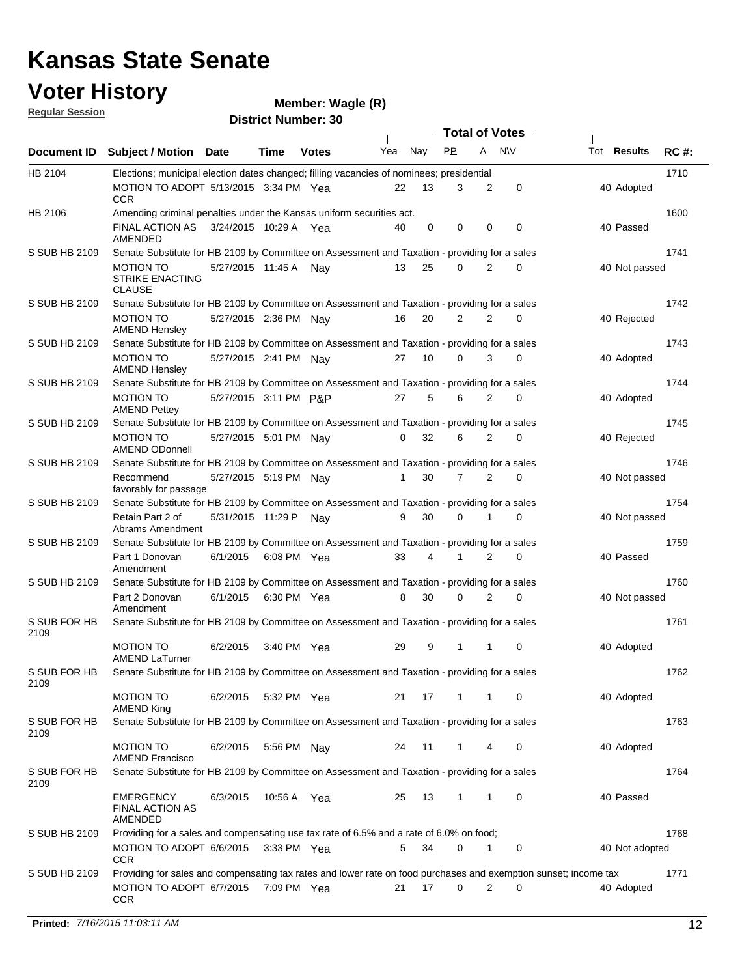### **Voter History**

#### **Wagle (R)**

**Regular Session**

| <u>INGUMAL OGGSION</u> |                                                                                                                              |                       |               | <b>District Number: 30</b> |     |     |                |                |                       |                |             |
|------------------------|------------------------------------------------------------------------------------------------------------------------------|-----------------------|---------------|----------------------------|-----|-----|----------------|----------------|-----------------------|----------------|-------------|
|                        |                                                                                                                              |                       |               |                            |     |     |                |                | <b>Total of Votes</b> |                |             |
| <b>Document ID</b>     | Subject / Motion Date                                                                                                        |                       | Time          | <b>Votes</b>               | Yea | Nay | <b>PP</b>      | A              | <b>NV</b>             | Tot Results    | <b>RC#:</b> |
| HB 2104                | Elections; municipal election dates changed; filling vacancies of nominees; presidential                                     |                       |               |                            |     |     |                |                |                       |                | 1710        |
|                        | MOTION TO ADOPT 5/13/2015 3:34 PM Yea<br>CCR                                                                                 |                       |               |                            | 22  | 13  | 3              | 2              | 0                     | 40 Adopted     |             |
| HB 2106                | Amending criminal penalties under the Kansas uniform securities act.                                                         |                       |               |                            |     |     |                |                |                       |                | 1600        |
|                        | FINAL ACTION AS<br>AMENDED                                                                                                   | 3/24/2015 10:29 A Yea |               |                            | 40  | 0   | 0              | 0              | $\mathbf 0$           | 40 Passed      |             |
| S SUB HB 2109          | Senate Substitute for HB 2109 by Committee on Assessment and Taxation - providing for a sales                                |                       |               |                            |     |     |                |                |                       |                | 1741        |
|                        | <b>MOTION TO</b><br><b>STRIKE ENACTING</b><br><b>CLAUSE</b>                                                                  | 5/27/2015 11:45 A Nay |               |                            | 13  | 25  | 0              | $\overline{2}$ | $\mathbf 0$           | 40 Not passed  |             |
| S SUB HB 2109          | Senate Substitute for HB 2109 by Committee on Assessment and Taxation - providing for a sales                                |                       |               |                            |     |     |                |                |                       |                | 1742        |
|                        | <b>MOTION TO</b><br><b>AMEND Hensley</b>                                                                                     | 5/27/2015 2:36 PM Nay |               |                            | 16  | 20  | $\overline{2}$ | 2              | $\mathbf 0$           | 40 Rejected    |             |
| S SUB HB 2109          | Senate Substitute for HB 2109 by Committee on Assessment and Taxation - providing for a sales                                |                       |               |                            |     |     |                |                |                       |                | 1743        |
|                        | MOTION TO<br><b>AMEND Hensley</b>                                                                                            | 5/27/2015 2:41 PM Nay |               |                            | 27  | 10  | $\Omega$       | 3              | $\Omega$              | 40 Adopted     |             |
| S SUB HB 2109          | Senate Substitute for HB 2109 by Committee on Assessment and Taxation - providing for a sales                                |                       |               |                            |     |     |                |                |                       |                | 1744        |
|                        | <b>MOTION TO</b><br><b>AMEND Pettey</b>                                                                                      | 5/27/2015 3:11 PM P&P |               |                            | 27  | 5   | 6              | 2              | 0                     | 40 Adopted     |             |
| S SUB HB 2109          | Senate Substitute for HB 2109 by Committee on Assessment and Taxation - providing for a sales                                |                       |               |                            |     |     |                |                |                       |                | 1745        |
|                        | <b>MOTION TO</b><br><b>AMEND ODonnell</b>                                                                                    | 5/27/2015 5:01 PM Nay |               |                            | 0   | 32  | 6              | 2              | 0                     | 40 Rejected    |             |
| S SUB HB 2109          | Senate Substitute for HB 2109 by Committee on Assessment and Taxation - providing for a sales                                |                       |               |                            |     |     |                |                |                       |                | 1746        |
|                        | Recommend<br>favorably for passage                                                                                           | 5/27/2015 5:19 PM Nay |               |                            |     | 30  | $\overline{7}$ | 2              | $\Omega$              | 40 Not passed  |             |
| S SUB HB 2109          | Senate Substitute for HB 2109 by Committee on Assessment and Taxation - providing for a sales                                |                       |               |                            |     |     |                |                |                       |                | 1754        |
|                        | Retain Part 2 of<br>Abrams Amendment                                                                                         | 5/31/2015 11:29 P     |               | Nay                        | 9   | 30  | 0              | 1              | $\Omega$              | 40 Not passed  |             |
| S SUB HB 2109          | Senate Substitute for HB 2109 by Committee on Assessment and Taxation - providing for a sales                                |                       |               |                            |     |     |                |                |                       |                | 1759        |
| S SUB HB 2109          | Part 1 Donovan<br>Amendment<br>Senate Substitute for HB 2109 by Committee on Assessment and Taxation - providing for a sales | 6/1/2015              | 6:08 PM Yea   |                            | 33  | 4   | 1              | 2              | 0                     | 40 Passed      | 1760        |
|                        |                                                                                                                              |                       |               |                            |     |     | $\Omega$       | $\overline{2}$ | $\Omega$              |                |             |
| S SUB FOR HB           | Part 2 Donovan<br>Amendment                                                                                                  | 6/1/2015 6:30 PM Yea  |               |                            | 8   | 30  |                |                |                       | 40 Not passed  | 1761        |
| 2109                   | Senate Substitute for HB 2109 by Committee on Assessment and Taxation - providing for a sales                                |                       |               |                            |     |     |                |                |                       |                |             |
|                        | <b>MOTION TO</b><br><b>AMEND LaTurner</b>                                                                                    | 6/2/2015              | 3:40 PM Yea   |                            | 29  | 9   | 1              | 1              | 0                     | 40 Adopted     |             |
| S SUB FOR HB<br>2109   | Senate Substitute for HB 2109 by Committee on Assessment and Taxation - providing for a sales                                |                       |               |                            |     |     |                |                |                       |                | 1762        |
|                        | <b>MOTION TO</b><br><b>AMEND King</b>                                                                                        | 6/2/2015              | 5:32 PM Yea   |                            | 21  | 17  | 1              | 1              | 0                     | 40 Adopted     |             |
| S SUB FOR HB<br>2109   | Senate Substitute for HB 2109 by Committee on Assessment and Taxation - providing for a sales                                |                       |               |                            |     |     |                |                |                       |                | 1763        |
|                        | <b>MOTION TO</b><br><b>AMEND Francisco</b>                                                                                   | 6/2/2015              | 5:56 PM Nay   |                            | 24  | 11  | 1              | 4              | 0                     | 40 Adopted     |             |
| S SUB FOR HB<br>2109   | Senate Substitute for HB 2109 by Committee on Assessment and Taxation - providing for a sales                                |                       |               |                            |     |     |                |                |                       |                | 1764        |
|                        | <b>EMERGENCY</b><br><b>FINAL ACTION AS</b><br>AMENDED                                                                        | 6/3/2015              | 10:56 A Yea   |                            | 25  | 13  | $\mathbf{1}$   | 1              | 0                     | 40 Passed      |             |
| S SUB HB 2109          | Providing for a sales and compensating use tax rate of 6.5% and a rate of 6.0% on food;                                      |                       |               |                            |     |     |                |                |                       |                | 1768        |
|                        | MOTION TO ADOPT 6/6/2015<br>CCR                                                                                              |                       | $3:33$ PM Yea |                            | 5   | 34  | 0              | 1              | 0                     | 40 Not adopted |             |
| S SUB HB 2109          | Providing for sales and compensating tax rates and lower rate on food purchases and exemption sunset; income tax             |                       |               |                            |     |     |                |                |                       |                | 1771        |
|                        | MOTION TO ADOPT 6/7/2015<br><b>CCR</b>                                                                                       |                       | 7:09 PM Yea   |                            | 21  | 17  | 0              | 2              | 0                     | 40 Adopted     |             |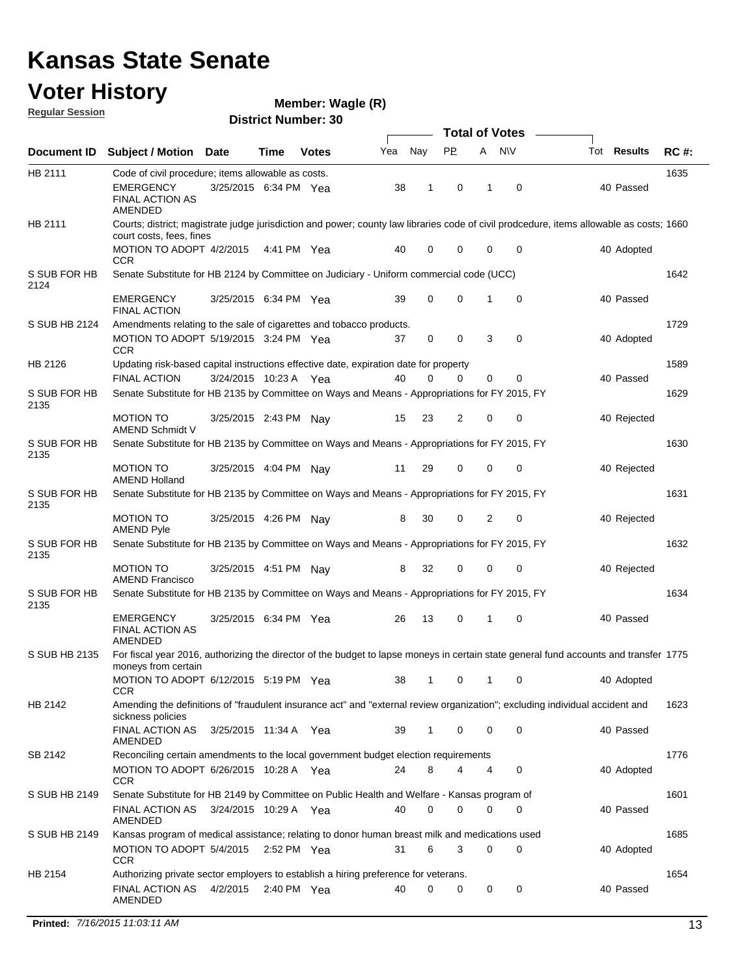### **Voter History**

**Regular Session**

**Wagle (R)**

|                      |                                                                                                |                         |      |               |     |     |     |                | <b>Total of Votes</b> |                                                                                                                                          |             |
|----------------------|------------------------------------------------------------------------------------------------|-------------------------|------|---------------|-----|-----|-----|----------------|-----------------------|------------------------------------------------------------------------------------------------------------------------------------------|-------------|
|                      | Document ID Subject / Motion Date                                                              |                         | Time | <b>Votes</b>  | Yea | Nay | PP. | A              | <b>NV</b>             | Tot Results                                                                                                                              | <b>RC#:</b> |
| HB 2111              | Code of civil procedure; items allowable as costs.                                             |                         |      |               |     |     |     |                |                       |                                                                                                                                          | 1635        |
|                      | EMERGENCY<br><b>FINAL ACTION AS</b><br>AMENDED                                                 | 3/25/2015 6:34 PM Yea   |      |               | 38  | 1   | 0   | 1              | 0                     | 40 Passed                                                                                                                                |             |
| HB 2111              | court costs, fees, fines                                                                       |                         |      |               |     |     |     |                |                       | Courts; district; magistrate judge jurisdiction and power; county law libraries code of civil prodcedure, items allowable as costs; 1660 |             |
|                      | MOTION TO ADOPT 4/2/2015<br><b>CCR</b>                                                         |                         |      | 4:41 PM Yea   | 40  | 0   | 0   | $\mathbf 0$    | 0                     | 40 Adopted                                                                                                                               |             |
| S SUB FOR HB<br>2124 | Senate Substitute for HB 2124 by Committee on Judiciary - Uniform commercial code (UCC)        |                         |      |               |     |     |     |                |                       |                                                                                                                                          | 1642        |
|                      | EMERGENCY<br><b>FINAL ACTION</b>                                                               | 3/25/2015 6:34 PM Yea   |      |               | 39  | 0   | 0   | 1              | 0                     | 40 Passed                                                                                                                                |             |
| S SUB HB 2124        | Amendments relating to the sale of cigarettes and tobacco products.                            |                         |      |               |     |     |     |                |                       |                                                                                                                                          | 1729        |
|                      | MOTION TO ADOPT 5/19/2015 3:24 PM Yea<br><b>CCR</b>                                            |                         |      |               | 37  | 0   | 0   | 3              | 0                     | 40 Adopted                                                                                                                               |             |
| HB 2126              | Updating risk-based capital instructions effective date, expiration date for property          |                         |      |               |     |     |     |                |                       |                                                                                                                                          | 1589        |
|                      | <b>FINAL ACTION</b>                                                                            | 3/24/2015 10:23 A Yea   |      |               | 40  | 0   | 0   | $\mathbf 0$    | 0                     | 40 Passed                                                                                                                                |             |
| S SUB FOR HB<br>2135 | Senate Substitute for HB 2135 by Committee on Ways and Means - Appropriations for FY 2015, FY  |                         |      |               |     |     |     |                |                       |                                                                                                                                          | 1629        |
|                      | <b>MOTION TO</b><br>AMEND Schmidt V                                                            | 3/25/2015 2:43 PM Nay   |      |               | 15  | 23  | 2   | 0              | 0                     | 40 Rejected                                                                                                                              |             |
| S SUB FOR HB<br>2135 | Senate Substitute for HB 2135 by Committee on Ways and Means - Appropriations for FY 2015, FY  |                         |      |               |     |     |     |                |                       |                                                                                                                                          | 1630        |
|                      | <b>MOTION TO</b><br><b>AMEND Holland</b>                                                       | 3/25/2015 4:04 PM Nay   |      |               | 11  | 29  | 0   | $\mathbf 0$    | 0                     | 40 Rejected                                                                                                                              |             |
| S SUB FOR HB<br>2135 | Senate Substitute for HB 2135 by Committee on Ways and Means - Appropriations for FY 2015, FY  |                         |      |               |     |     |     |                |                       |                                                                                                                                          | 1631        |
|                      | <b>MOTION TO</b><br><b>AMEND Pyle</b>                                                          | 3/25/2015 4:26 PM Nay   |      |               | 8   | 30  | 0   | $\overline{2}$ | $\mathbf 0$           | 40 Rejected                                                                                                                              |             |
| S SUB FOR HB<br>2135 | Senate Substitute for HB 2135 by Committee on Ways and Means - Appropriations for FY 2015, FY  |                         |      |               |     |     |     |                |                       |                                                                                                                                          | 1632        |
|                      | <b>MOTION TO</b><br><b>AMEND Francisco</b>                                                     | 3/25/2015  4:51 PM  Nay |      |               | 8   | 32  | 0   | 0              | 0                     | 40 Rejected                                                                                                                              |             |
| S SUB FOR HB<br>2135 | Senate Substitute for HB 2135 by Committee on Ways and Means - Appropriations for FY 2015, FY  |                         |      |               |     |     |     |                |                       |                                                                                                                                          | 1634        |
|                      | <b>EMERGENCY</b><br><b>FINAL ACTION AS</b><br>AMENDED                                          | 3/25/2015 6:34 PM Yea   |      |               | 26  | 13  | 0   | 1              | 0                     | 40 Passed                                                                                                                                |             |
| S SUB HB 2135        | moneys from certain                                                                            |                         |      |               |     |     |     |                |                       | For fiscal year 2016, authorizing the director of the budget to lapse moneys in certain state general fund accounts and transfer 1775    |             |
|                      | MOTION TO ADOPT 6/12/2015 5:19 PM Yea 38 1 0 1 0<br>CCR                                        |                         |      |               |     |     |     |                |                       | 40 Adopted                                                                                                                               |             |
| HB 2142              |                                                                                                |                         |      |               |     |     |     |                |                       | Amending the definitions of "fraudulent insurance act" and "external review organization"; excluding individual accident and             | 1623        |
|                      | sickness policies<br><b>FINAL ACTION AS</b><br><b>AMENDED</b>                                  | 3/25/2015 11:34 A Yea   |      |               | 39  | 1   | 0   | 0              | $\mathbf 0$           | 40 Passed                                                                                                                                |             |
| SB 2142              | Reconciling certain amendments to the local government budget election requirements            |                         |      |               |     |     |     |                |                       |                                                                                                                                          | 1776        |
|                      | MOTION TO ADOPT 6/26/2015 10:28 A Yea<br>CCR                                                   |                         |      |               | 24  | 8   | 4   | 4              | 0                     | 40 Adopted                                                                                                                               |             |
| S SUB HB 2149        | Senate Substitute for HB 2149 by Committee on Public Health and Welfare - Kansas program of    |                         |      |               |     |     |     |                |                       |                                                                                                                                          | 1601        |
|                      | FINAL ACTION AS<br>AMENDED                                                                     | 3/24/2015 10:29 A Yea   |      |               | 40  | 0   | 0   | 0              | 0                     | 40 Passed                                                                                                                                |             |
| S SUB HB 2149        | Kansas program of medical assistance; relating to donor human breast milk and medications used |                         |      |               |     |     |     |                |                       |                                                                                                                                          | 1685        |
|                      | MOTION TO ADOPT 5/4/2015 2:52 PM Yea<br><b>CCR</b>                                             |                         |      |               | 31  | 6   | 3   | $\mathbf 0$    | $\mathbf 0$           | 40 Adopted                                                                                                                               |             |
| HB 2154              | Authorizing private sector employers to establish a hiring preference for veterans.            |                         |      |               |     |     |     |                |                       |                                                                                                                                          | 1654        |
|                      | <b>FINAL ACTION AS</b><br>AMENDED                                                              | 4/2/2015                |      | 2:40 PM $Yea$ | 40  | 0   | 0   | 0              | $\mathbf 0$           | 40 Passed                                                                                                                                |             |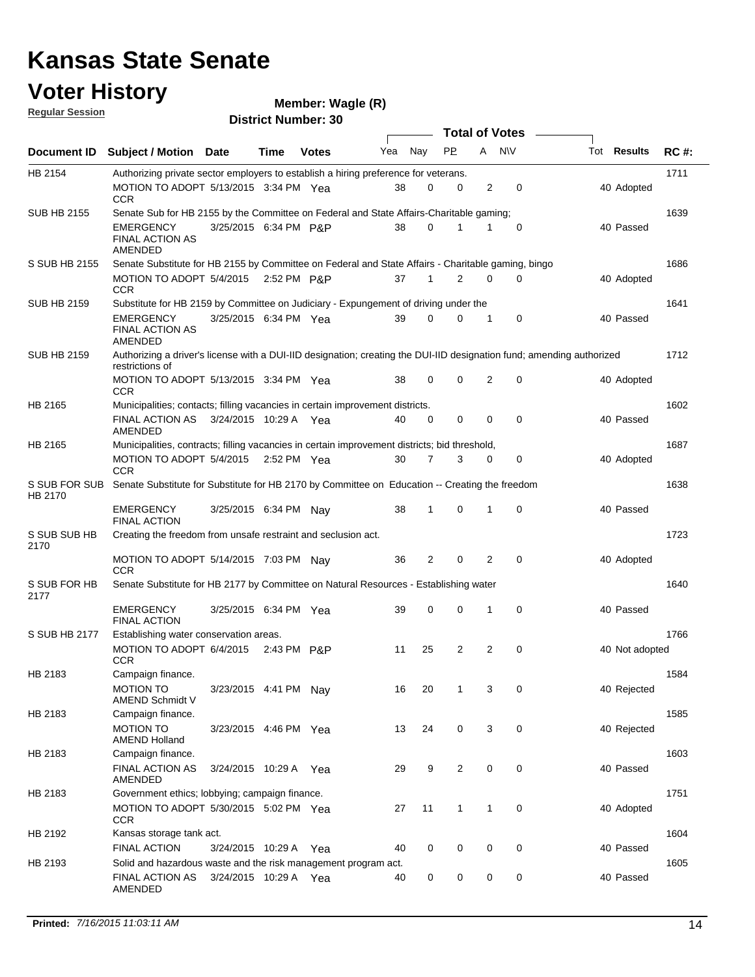### **Voter History**

#### **Wagle (R)**

**Document ID** Subject / Motion Date Time Votes Yea Nay PP A NIV Tot Results RC #: **District Number: 30 Date Votes Total of Votes Tot Results Regular Session** Nav 1711 MOTION TO ADOPT 5/13/2015 3:34 PM Yea  $38$  0 0 2 0  $\hspace{1.5cm}40$  Adopted HB 2154 **CCR** Authorizing private sector employers to establish a hiring preference for veterans. 1639 3/25/2015 EMERGENCY P&P 40 6:34 PM 38 0 0 1 1 Passed SUB HB 2155 FINAL ACTION AS AMENDED Senate Sub for HB 2155 by the Committee on Federal and State Affairs-Charitable gaming; 1686 5/4/2015 MOTION TO ADOPT P&P 40 2:52 PM 37 1 0 2 0 Adopted S SUB HB 2155 **CCR** Senate Substitute for HB 2155 by Committee on Federal and State Affairs - Charitable gaming, bingo 1641 3/25/2015 EMERGENCY Yea 40 6:34 PM 39 0 0 0 1 Passed SUB HB 2159 FINAL ACTION AS AMENDED Substitute for HB 2159 by Committee on Judiciary - Expungement of driving under the 1712 MOTION TO ADOPT 5/13/2015 3:34 PM Yea  $38$  0 0 2 0  $\hspace{1.5cm}40$  Adopted SUB HB 2159 **CCR** Authorizing a driver's license with a DUI-IID designation; creating the DUI-IID designation fund; amending authorized restrictions of 1602 FINAL ACTION AS 3/24/2015 10:29 A Yea  $40 \quad 0 \quad 0 \quad 0 \quad 0$ HB 2165 AMENDED Municipalities; contacts; filling vacancies in certain improvement districts. Yea 40 0 0 0 0 40 Passed 1687 5/4/2015 MOTION TO ADOPT Yea 40 2:52 PM 30 7 0 3 0 Adopted HB 2165 CCR Municipalities, contracts; filling vacancies in certain improvement districts; bid threshold, 1638 EMERGENCY 3/25/2015 6:34 PM Nay 38 1 0 1 0 40 Passed S SUB FOR SUB Senate Substitute for Substitute for HB 2170 by Committee on Education -- Creating the freedom HB 2170 FINAL ACTION 1723 MOTION TO ADOPT 5/14/2015 7:03 PM Nay 36 2 0 2 0 40 Adopted S SUB SUB HB 2170 **CCR** Creating the freedom from unsafe restraint and seclusion act. 1640 3/25/2015 EMERGENCY Yea 40 6:34 PM 39 0 0 0 1 Passed S SUB FOR HB 2177 FINAL ACTION Senate Substitute for HB 2177 by Committee on Natural Resources - Establishing water 1766 MOTION TO ADOPT 6/4/2015 2:43 PM P&P 11 25 2 2 0 40 S SUB HB 2177 **CCR** Establishing water conservation areas. 2:43 PM P&P 11 25 2 2 0 40 Not adopted 1584 MOTION TO 3/23/2015 4:41 PM Nay 16 20 1 3 0 40 HB 2183 AMEND Schmidt V Campaign finance. Nav 16 20 1 3 0 40 Rejected 1585 3/23/2015 MOTION TO Yea 40 HB 2183 AMEND Holland Campaign finance. Yea 13 24 0 3 0 40 Rejected 1603 FINAL ACTION AS 3/24/2015 10:29 A Yea  $29 \t 9 \t 2 \t 0 \t 0$  40 HB 2183 AMENDED Campaign finance. Yea 29 9 2 0 0 40 Passed 1751 MOTION TO ADOPT 5/30/2015 5:02 PM Yea  $27$  11 1 1 0  $40$  Adopted HB 2183 **CCR** Government ethics; lobbying; campaign finance. 1604 3/24/2015 FINAL ACTION Yea 40 HB 2192 Kansas storage tank act. Yea 40 0 0 0 0 40 Passed 1605 FINAL ACTION AS 3/24/2015 10:29 A Yea  $\,$  40  $\,$  0  $\,$  0  $\,$  0  $\,$  0  $\,$  0  $\,$  0  $\,$  40 Passed HB 2193 AMENDED Solid and hazardous waste and the risk management program act.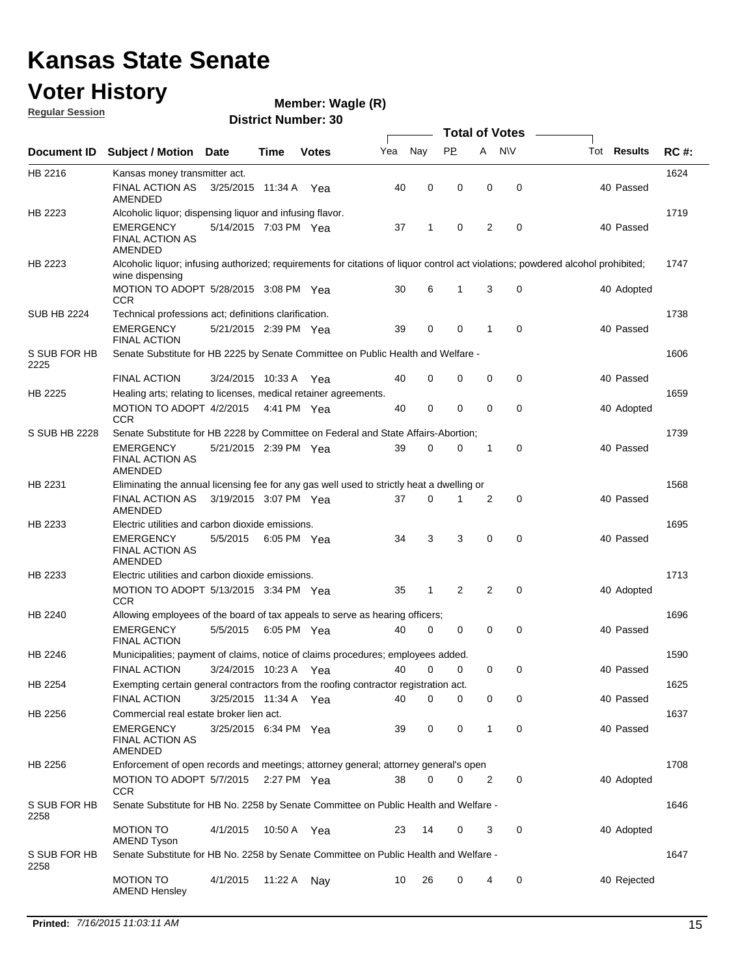### **Voter History**

**Regular Session**

**Wagle (R)**

|                      |                                                                                           |                       |             |              |     |             | <b>Total of Votes</b> |   |             |                                                                                                                                  |             |
|----------------------|-------------------------------------------------------------------------------------------|-----------------------|-------------|--------------|-----|-------------|-----------------------|---|-------------|----------------------------------------------------------------------------------------------------------------------------------|-------------|
| <b>Document ID</b>   | <b>Subject / Motion Date</b>                                                              |                       | Time        | <b>Votes</b> | Yea | Nay         | <b>PP</b>             | A | <b>NV</b>   | Tot <b>Results</b>                                                                                                               | <b>RC#:</b> |
| HB 2216              | Kansas money transmitter act.                                                             |                       |             |              |     |             |                       |   |             |                                                                                                                                  | 1624        |
|                      | <b>FINAL ACTION AS</b><br>AMENDED                                                         | 3/25/2015 11:34 A     |             | Yea          | 40  | 0           | 0                     | 0 | 0           | 40 Passed                                                                                                                        |             |
| HB 2223              | Alcoholic liquor; dispensing liquor and infusing flavor.                                  |                       |             |              |     |             |                       |   |             |                                                                                                                                  | 1719        |
|                      | <b>EMERGENCY</b><br><b>FINAL ACTION AS</b><br>AMENDED                                     | 5/14/2015 7:03 PM Yea |             |              | 37  | 1           | 0                     | 2 | $\mathbf 0$ | 40 Passed                                                                                                                        |             |
| HB 2223              | wine dispensing                                                                           |                       |             |              |     |             |                       |   |             | Alcoholic liquor; infusing authorized; requirements for citations of liquor control act violations; powdered alcohol prohibited; | 1747        |
|                      | MOTION TO ADOPT 5/28/2015 3:08 PM Yea<br><b>CCR</b>                                       |                       |             |              | 30  | 6           | $\mathbf{1}$          | 3 | 0           | 40 Adopted                                                                                                                       |             |
| <b>SUB HB 2224</b>   | Technical professions act; definitions clarification.                                     |                       |             |              |     |             |                       |   |             |                                                                                                                                  | 1738        |
|                      | <b>EMERGENCY</b><br><b>FINAL ACTION</b>                                                   | 5/21/2015 2:39 PM Yea |             |              | 39  | 0           | 0                     | 1 | $\mathbf 0$ | 40 Passed                                                                                                                        |             |
| S SUB FOR HB<br>2225 | Senate Substitute for HB 2225 by Senate Committee on Public Health and Welfare -          |                       |             |              |     |             |                       |   |             |                                                                                                                                  | 1606        |
|                      | <b>FINAL ACTION</b>                                                                       | 3/24/2015 10:33 A     |             | Yea          | 40  | $\mathbf 0$ | 0                     | 0 | 0           | 40 Passed                                                                                                                        |             |
| HB 2225              | Healing arts; relating to licenses, medical retainer agreements.                          |                       |             |              |     |             |                       |   |             |                                                                                                                                  | 1659        |
|                      | MOTION TO ADOPT 4/2/2015<br><b>CCR</b>                                                    |                       | 4:41 PM Yea |              | 40  | 0           | 0                     | 0 | 0           | 40 Adopted                                                                                                                       |             |
| S SUB HB 2228        | Senate Substitute for HB 2228 by Committee on Federal and State Affairs-Abortion;         |                       |             |              |     |             |                       |   |             |                                                                                                                                  | 1739        |
|                      | <b>EMERGENCY</b><br><b>FINAL ACTION AS</b><br>AMENDED                                     | 5/21/2015 2:39 PM Yea |             |              | 39  | 0           | 0                     | 1 | 0           | 40 Passed                                                                                                                        |             |
| HB 2231              | Eliminating the annual licensing fee for any gas well used to strictly heat a dwelling or |                       |             |              |     |             |                       |   |             |                                                                                                                                  | 1568        |
|                      | <b>FINAL ACTION AS</b><br>AMENDED                                                         | 3/19/2015 3:07 PM Yea |             |              | 37  | $\mathbf 0$ | 1                     | 2 | 0           | 40 Passed                                                                                                                        |             |
| HB 2233              | Electric utilities and carbon dioxide emissions.                                          |                       |             |              |     |             |                       |   |             |                                                                                                                                  | 1695        |
|                      | <b>EMERGENCY</b><br><b>FINAL ACTION AS</b><br><b>AMENDED</b>                              | 5/5/2015              | 6:05 PM Yea |              | 34  | 3           | 3                     | 0 | $\mathbf 0$ | 40 Passed                                                                                                                        |             |
| HB 2233              | Electric utilities and carbon dioxide emissions.                                          |                       |             |              |     |             |                       |   |             |                                                                                                                                  | 1713        |
|                      | MOTION TO ADOPT 5/13/2015 3:34 PM Yea<br><b>CCR</b>                                       |                       |             |              | 35  | 1           | 2                     | 2 | $\mathbf 0$ | 40 Adopted                                                                                                                       |             |
| HB 2240              | Allowing employees of the board of tax appeals to serve as hearing officers;              |                       |             |              |     |             |                       |   |             |                                                                                                                                  | 1696        |
|                      | <b>EMERGENCY</b><br><b>FINAL ACTION</b>                                                   | 5/5/2015              | 6:05 PM Yea |              | 40  | 0           | 0                     | 0 | 0           | 40 Passed                                                                                                                        |             |
| HB 2246              | Municipalities; payment of claims, notice of claims procedures; employees added.          |                       |             |              |     |             |                       |   |             |                                                                                                                                  | 1590        |
|                      | <b>FINAL ACTION</b>                                                                       | 3/24/2015 10:23 A     |             | Yea          | 40  | 0           | 0                     | 0 | 0           | 40 Passed                                                                                                                        |             |
| HB 2254              | Exempting certain general contractors from the roofing contractor registration act.       |                       |             |              |     |             |                       |   |             |                                                                                                                                  | 1625        |
|                      | <b>FINAL ACTION</b>                                                                       | 3/25/2015 11:34 A     |             | Yea          | 40  | $\mathbf 0$ | 0                     | 0 | 0           | 40 Passed                                                                                                                        |             |
| HB 2256              | Commercial real estate broker lien act.                                                   |                       |             |              |     |             |                       |   |             |                                                                                                                                  | 1637        |
|                      | <b>EMERGENCY</b><br><b>FINAL ACTION AS</b><br>AMENDED                                     | 3/25/2015 6:34 PM Yea |             |              | 39  | 0           | 0                     | 1 | 0           | 40 Passed                                                                                                                        |             |
| HB 2256              | Enforcement of open records and meetings; attorney general; attorney general's open       |                       |             |              |     |             |                       |   |             |                                                                                                                                  | 1708        |
|                      | MOTION TO ADOPT 5/7/2015<br><b>CCR</b>                                                    |                       | 2:27 PM Yea |              | 38  | 0           | 0                     | 2 | 0           | 40 Adopted                                                                                                                       |             |
| S SUB FOR HB<br>2258 | Senate Substitute for HB No. 2258 by Senate Committee on Public Health and Welfare -      |                       |             |              |     |             |                       |   |             |                                                                                                                                  | 1646        |
|                      | <b>MOTION TO</b><br><b>AMEND Tyson</b>                                                    | 4/1/2015              | 10:50 A Yea |              | 23  | 14          | 0                     | 3 | 0           | 40 Adopted                                                                                                                       |             |
| S SUB FOR HB<br>2258 | Senate Substitute for HB No. 2258 by Senate Committee on Public Health and Welfare -      |                       |             |              |     |             |                       |   |             |                                                                                                                                  | 1647        |
|                      | <b>MOTION TO</b><br><b>AMEND Hensley</b>                                                  | 4/1/2015              | 11:22 A Nay |              | 10  | 26          | 0                     | 4 | $\mathbf 0$ | 40 Rejected                                                                                                                      |             |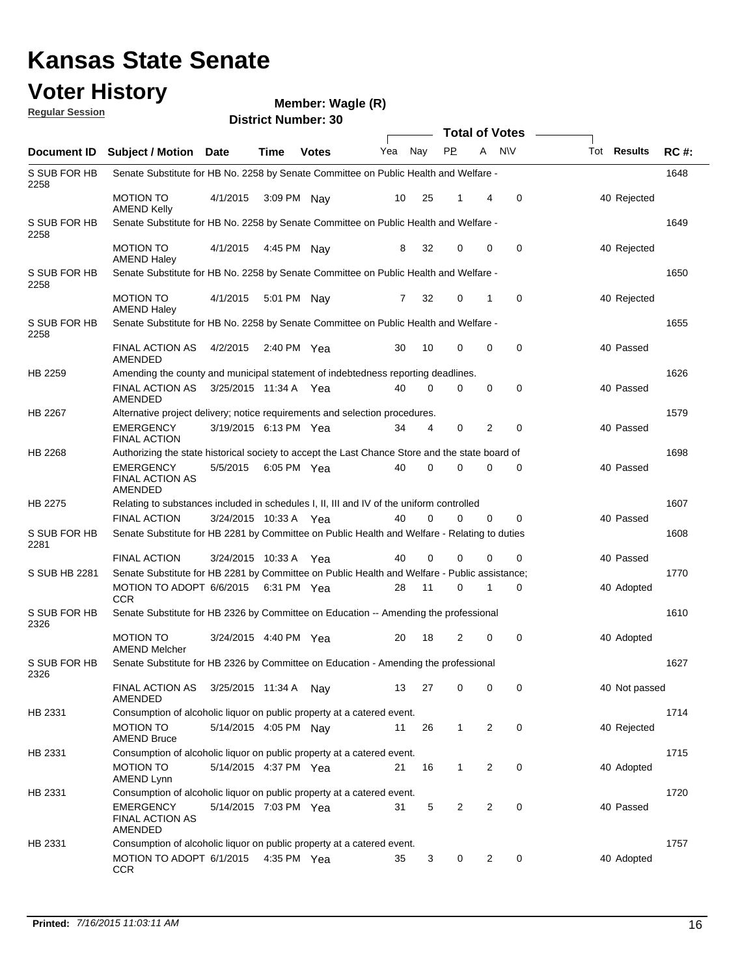**Document ID** Subject / Motion Date Time Votes Yea Nay PP A NIV Tot Results RC #: **Voter History District Number: 30 Wagle (R) Date Votes Total of Votes Time Votes** Mea Nay PP A N\V Tot Results **Regular Session** Nav 1648 4/1/2015 S SUB FOR HB 2258 MOTION TO 4/1/2015 3:09 PM Nay 10 25 1 4 0 40 Rejected AMEND Kelly Senate Substitute for HB No. 2258 by Senate Committee on Public Health and Welfare - 1649 MOTION TO 4/1/2015 4:45 PM Nay 8 32 0 0 40 Rejected S SUB FOR HB 2258 AMEND Haley Senate Substitute for HB No. 2258 by Senate Committee on Public Health and Welfare - 1650 MOTION TO 4/1/2015 5:01 PM Nay 7 32 0 1 0 40 Rejected S SUB FOR HB 2258 AMEND Haley Senate Substitute for HB No. 2258 by Senate Committee on Public Health and Welfare - 1655 FINAL ACTION AS 4/2/2015 2:40 PM Yea 40 40 40 A 40 Passed S SUB FOR HB 2258 AMENDED Senate Substitute for HB No. 2258 by Senate Committee on Public Health and Welfare - 1626 FINAL ACTION AS 3/25/2015 11:34 A Yea  $40 \quad 0 \quad 0 \quad 0 \quad 0$ HB 2259 AMENDED Amending the county and municipal statement of indebtedness reporting deadlines. Yea 40 0 0 0 0 40 Passed 1579 3/19/2015 EMERGENCY Yea 40 6:13 PM 34 4 0 0 2 Passed HB 2267 FINAL ACTION Alternative project delivery; notice requirements and selection procedures. 1698 5/5/2015 HB 2268 EMERGENCY 5/5/2015 6:05 PM Yea 40 0 0 0 40 Passed FINAL ACTION AS AMENDED Authorizing the state historical society to accept the Last Chance Store and the state board of 1607 3/24/2015 FINAL ACTION Yea 40 10:33 A 40 0 0 0 0 Passed HB 2275 Relating to substances included in schedules I, II, III and IV of the uniform controlled 1608 3/24/2015 FINAL ACTION Yea 40 10:33 A 40 0 0 0 0 Passed S SUB FOR HB 2281 Senate Substitute for HB 2281 by Committee on Public Health and Welfare - Relating to duties 1770 6/6/2015 MOTION TO ADOPT Yea 40 6:31 PM 28 11 0 0 1 Adopted S SUB HB 2281 **CCR** Senate Substitute for HB 2281 by Committee on Public Health and Welfare - Public assistance; 1610 3/24/2015 MOTION TO Yea 40 4:40 PM 20 18 0 2 0 Adopted S SUB FOR HB 2326 AMEND Melcher Senate Substitute for HB 2326 by Committee on Education -- Amending the professional 1627 FINAL ACTION AS 3/25/2015 11:34 A Nay 13 27 0 0 40 Not passed S SUB FOR HB 2326 AMENDED Senate Substitute for HB 2326 by Committee on Education - Amending the professional 1714 MOTION TO 5/14/2015 4:05 PM Nay 11 26 1 2 0 40 Rejected HB 2331 AMEND Bruce Consumption of alcoholic liquor on public property at a catered event.

MOTION TO 5/14/2015 4:37 PM Yea 21 16 1 2 0 40 40 Adopted

5/14/2015 EMERGENCY Yea 40 7:03 PM 31 5 0 2 2 Passed

MOTION TO ADOPT 6/1/2015 4:35 PM Yea 46 4:35 PM Yea 4:35 4:35 PM 135 4:35 PM 136 4:35 PM 136

Consumption of alcoholic liquor on public property at a catered event.

Consumption of alcoholic liquor on public property at a catered event.

Consumption of alcoholic liquor on public property at a catered event.

**CCR** 

AMEND Lynn

FINAL ACTION AS AMENDED

HB 2331

HB 2331

HB 2331

1715

1720

1757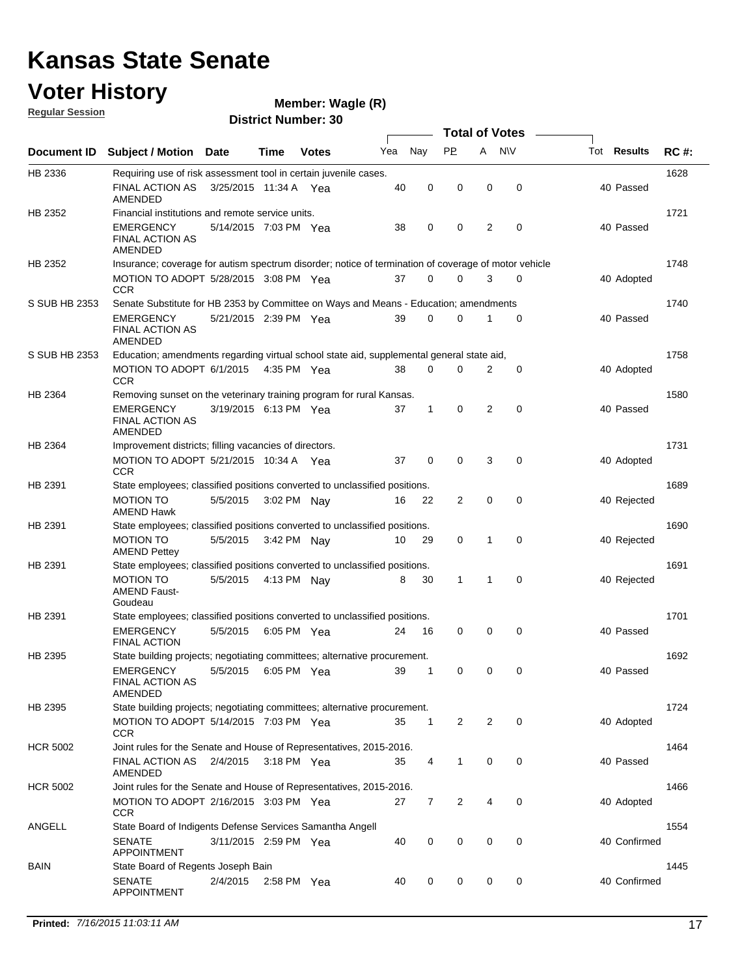### **Voter History Regular Session**

| <u>noquial Ocaaloni</u> | <b>District Number: 30</b>                                                                           |                       |             |               |     |              |                |                |             |  |                    |             |
|-------------------------|------------------------------------------------------------------------------------------------------|-----------------------|-------------|---------------|-----|--------------|----------------|----------------|-------------|--|--------------------|-------------|
|                         | Total of Votes –                                                                                     |                       |             |               |     |              |                |                |             |  |                    |             |
| <b>Document ID</b>      | <b>Subject / Motion Date</b>                                                                         |                       | <b>Time</b> | <b>Votes</b>  | Yea | Nay          | <b>PP</b>      | A              | <b>N\V</b>  |  | Tot <b>Results</b> | <b>RC#:</b> |
| HB 2336                 | Requiring use of risk assessment tool in certain juvenile cases.                                     |                       |             |               |     |              |                |                |             |  |                    | 1628        |
|                         | <b>FINAL ACTION AS</b><br>AMENDED                                                                    | 3/25/2015 11:34 A Yea |             |               | 40  | $\mathbf 0$  | $\mathbf 0$    | 0              | $\mathbf 0$ |  | 40 Passed          |             |
| HB 2352                 | Financial institutions and remote service units.                                                     |                       |             |               |     |              |                |                |             |  |                    | 1721        |
|                         | EMERGENCY<br>FINAL ACTION AS<br><b>AMENDED</b>                                                       | 5/14/2015 7:03 PM Yea |             |               | 38  | 0            | 0              | $\overline{2}$ | 0           |  | 40 Passed          |             |
| HB 2352                 | Insurance; coverage for autism spectrum disorder; notice of termination of coverage of motor vehicle |                       |             |               |     |              |                |                |             |  |                    | 1748        |
|                         | MOTION TO ADOPT 5/28/2015 3:08 PM Yea<br><b>CCR</b>                                                  |                       |             |               | 37  | $\mathbf 0$  | 0              | 3              | 0           |  | 40 Adopted         |             |
| S SUB HB 2353           | Senate Substitute for HB 2353 by Committee on Ways and Means - Education; amendments                 |                       |             |               |     |              |                |                |             |  |                    | 1740        |
|                         | EMERGENCY<br>FINAL ACTION AS<br><b>AMENDED</b>                                                       | 5/21/2015 2:39 PM Yea |             |               | 39  | $\mathbf 0$  | 0              | 1              | 0           |  | 40 Passed          |             |
| S SUB HB 2353           | Education; amendments regarding virtual school state aid, supplemental general state aid,            |                       |             |               |     |              |                |                |             |  |                    | 1758        |
|                         | MOTION TO ADOPT 6/1/2015<br>CCR                                                                      |                       |             | 4:35 PM Yea   | 38  | $\mathbf 0$  | $\mathbf 0$    | 2              | 0           |  | 40 Adopted         |             |
| HB 2364                 | Removing sunset on the veterinary training program for rural Kansas.                                 |                       |             |               |     |              |                |                |             |  |                    | 1580        |
|                         | <b>EMERGENCY</b><br>FINAL ACTION AS<br>AMENDED                                                       | 3/19/2015 6:13 PM Yea |             |               | 37  | 1            | 0              | 2              | 0           |  | 40 Passed          |             |
| HB 2364                 | Improvement districts; filling vacancies of directors.                                               |                       |             |               |     |              |                |                |             |  |                    | 1731        |
|                         | MOTION TO ADOPT 5/21/2015 10:34 A Yea<br><b>CCR</b>                                                  |                       |             |               | 37  | $\mathbf 0$  | $\mathbf 0$    | 3              | $\mathbf 0$ |  | 40 Adopted         |             |
| HB 2391                 | State employees; classified positions converted to unclassified positions.                           |                       |             |               |     |              |                |                |             |  |                    | 1689        |
|                         | <b>MOTION TO</b><br><b>AMEND Hawk</b>                                                                | 5/5/2015              |             | 3:02 PM Nay   | 16  | 22           | 2              | $\mathbf 0$    | $\mathbf 0$ |  | 40 Rejected        |             |
| HB 2391                 | State employees; classified positions converted to unclassified positions.                           |                       |             |               |     |              |                |                |             |  |                    | 1690        |
|                         | <b>MOTION TO</b><br><b>AMEND Pettey</b>                                                              | 5/5/2015              |             | 3:42 PM Nay   | 10  | 29           | 0              | 1              | $\mathbf 0$ |  | 40 Rejected        |             |
| HB 2391                 | State employees; classified positions converted to unclassified positions.                           |                       |             |               |     |              |                |                |             |  |                    | 1691        |
|                         | <b>MOTION TO</b><br><b>AMEND Faust-</b><br>Goudeau                                                   | 5/5/2015              |             | 4:13 PM Nav   | 8   | 30           | $\mathbf{1}$   | 1              | $\mathbf 0$ |  | 40 Rejected        |             |
| HB 2391                 | State employees; classified positions converted to unclassified positions.                           |                       |             |               |     |              |                |                |             |  |                    | 1701        |
|                         | <b>EMERGENCY</b><br><b>FINAL ACTION</b>                                                              | 5/5/2015              |             | 6:05 PM Yea   | 24  | 16           | 0              | 0              | $\mathbf 0$ |  | 40 Passed          |             |
| HB 2395                 | State building projects; negotiating committees; alternative procurement.                            |                       |             |               |     |              |                |                |             |  |                    | 1692        |
|                         | EMERGENCY<br><b>FINAL ACTION AS</b><br><b>AMENDED</b>                                                | 5/5/2015 6:05 PM Yea  |             |               | 39  | -1           | 0              | 0              | 0           |  | 40 Passed          |             |
| HB 2395                 | State building projects; negotiating committees; alternative procurement.                            |                       |             |               |     |              |                |                |             |  |                    | 1724        |
|                         | MOTION TO ADOPT 5/14/2015 7:03 PM Yea<br><b>CCR</b>                                                  |                       |             |               | 35  | $\mathbf{1}$ | $\overline{2}$ | 2              | $\mathbf 0$ |  | 40 Adopted         |             |
| <b>HCR 5002</b>         | Joint rules for the Senate and House of Representatives, 2015-2016.                                  |                       |             |               |     |              |                |                |             |  |                    | 1464        |
|                         | FINAL ACTION AS<br>AMENDED                                                                           | 2/4/2015              |             | $3:18$ PM Yea | 35  | 4            | $\mathbf 1$    | 0              | 0           |  | 40 Passed          |             |
| <b>HCR 5002</b>         | Joint rules for the Senate and House of Representatives, 2015-2016.                                  |                       |             |               |     |              |                |                |             |  |                    | 1466        |
|                         | MOTION TO ADOPT 2/16/2015 3:03 PM Yea<br><b>CCR</b>                                                  |                       |             |               | 27  | 7            | 2              | 4              | 0           |  | 40 Adopted         |             |
| ANGELL                  | State Board of Indigents Defense Services Samantha Angell                                            |                       |             |               |     |              |                |                |             |  |                    | 1554        |
|                         | <b>SENATE</b><br><b>APPOINTMENT</b>                                                                  | 3/11/2015 2:59 PM Yea |             |               | 40  | 0            | 0              | $\mathbf 0$    | $\mathbf 0$ |  | 40 Confirmed       |             |
| BAIN                    | State Board of Regents Joseph Bain<br><b>SENATE</b><br><b>APPOINTMENT</b>                            | 2/4/2015              |             | 2:58 PM Yea   | 40  | 0            | 0              | 0              | 0           |  | 40 Confirmed       | 1445        |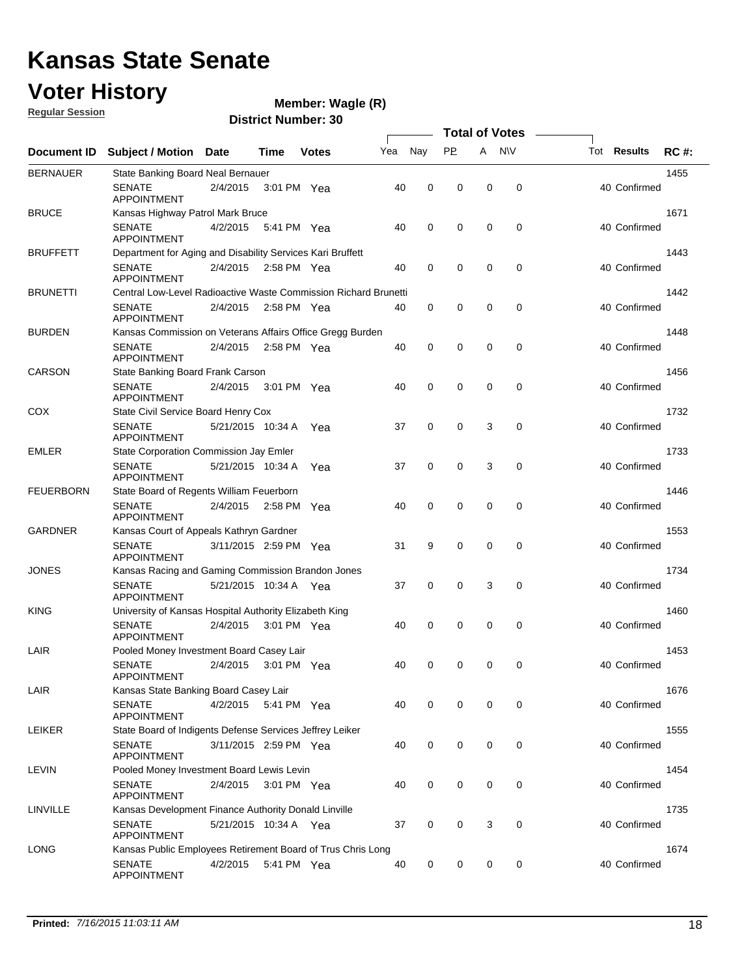### **Voter History**

**Regular Session**

**Wagle (R)**

|                  |                                                                 |                       |             |               |     |             |             | <b>Total of Votes</b> |             |                    |             |
|------------------|-----------------------------------------------------------------|-----------------------|-------------|---------------|-----|-------------|-------------|-----------------------|-------------|--------------------|-------------|
| Document ID      | <b>Subject / Motion</b>                                         | <b>Date</b>           | Time        | <b>Votes</b>  | Yea | Nay         | <b>PP</b>   | A NW                  |             | Tot <b>Results</b> | <b>RC#:</b> |
| <b>BERNAUER</b>  | State Banking Board Neal Bernauer                               |                       |             |               |     |             |             |                       |             |                    | 1455        |
|                  | <b>SENATE</b><br><b>APPOINTMENT</b>                             | 2/4/2015              |             | 3:01 PM Yea   | 40  | 0           | 0           | 0                     | 0           | 40 Confirmed       |             |
| <b>BRUCE</b>     | Kansas Highway Patrol Mark Bruce                                |                       |             |               |     |             |             |                       |             |                    | 1671        |
|                  | <b>SENATE</b><br><b>APPOINTMENT</b>                             | 4/2/2015              |             | 5:41 PM Yea   | 40  | 0           | 0           | $\mathbf 0$           | 0           | 40 Confirmed       |             |
| <b>BRUFFETT</b>  | Department for Aging and Disability Services Kari Bruffett      |                       |             |               |     |             |             |                       |             |                    | 1443        |
|                  | <b>SENATE</b><br><b>APPOINTMENT</b>                             | 2/4/2015              | 2:58 PM Yea |               | 40  | $\mathbf 0$ | 0           | $\mathbf 0$           | $\mathbf 0$ | 40 Confirmed       |             |
| <b>BRUNETTI</b>  | Central Low-Level Radioactive Waste Commission Richard Brunetti |                       |             |               |     |             |             |                       |             |                    | 1442        |
|                  | <b>SENATE</b><br><b>APPOINTMENT</b>                             | 2/4/2015              |             | 2:58 PM $Yea$ | 40  | $\mathbf 0$ | 0           | $\mathbf 0$           | 0           | 40 Confirmed       |             |
| <b>BURDEN</b>    | Kansas Commission on Veterans Affairs Office Gregg Burden       |                       |             |               |     |             |             |                       |             |                    | 1448        |
|                  | <b>SENATE</b><br><b>APPOINTMENT</b>                             | 2/4/2015              |             | 2:58 PM Yea   | 40  | $\mathbf 0$ | 0           | $\mathbf 0$           | $\mathbf 0$ | 40 Confirmed       |             |
| CARSON           | State Banking Board Frank Carson                                |                       |             |               |     |             |             |                       |             |                    | 1456        |
|                  | <b>SENATE</b><br><b>APPOINTMENT</b>                             | 2/4/2015              |             | 3:01 PM Yea   | 40  | 0           | 0           | $\mathbf 0$           | $\mathbf 0$ | 40 Confirmed       |             |
| COX              | State Civil Service Board Henry Cox                             |                       |             |               |     |             |             |                       |             |                    | 1732        |
|                  | <b>SENATE</b><br><b>APPOINTMENT</b>                             | 5/21/2015 10:34 A     |             | Yea           | 37  | 0           | 0           | 3                     | 0           | 40 Confirmed       |             |
| <b>EMLER</b>     | State Corporation Commission Jay Emler                          |                       |             |               |     |             |             |                       |             |                    | 1733        |
|                  | <b>SENATE</b><br><b>APPOINTMENT</b>                             | 5/21/2015 10:34 A     |             | Yea           | 37  | 0           | 0           | 3                     | 0           | 40 Confirmed       |             |
| <b>FEUERBORN</b> | State Board of Regents William Feuerborn                        |                       |             |               |     |             |             |                       |             |                    | 1446        |
|                  | <b>SENATE</b><br><b>APPOINTMENT</b>                             | 2/4/2015              |             | 2:58 PM Yea   | 40  | 0           | 0           | $\mathbf 0$           | 0           | 40 Confirmed       |             |
| <b>GARDNER</b>   | Kansas Court of Appeals Kathryn Gardner                         |                       |             |               |     |             |             |                       |             |                    | 1553        |
|                  | <b>SENATE</b><br><b>APPOINTMENT</b>                             | 3/11/2015 2:59 PM Yea |             |               | 31  | 9           | 0           | $\mathbf 0$           | $\mathbf 0$ | 40 Confirmed       |             |
| <b>JONES</b>     | Kansas Racing and Gaming Commission Brandon Jones               |                       |             |               |     |             |             |                       |             |                    | 1734        |
|                  | <b>SENATE</b><br><b>APPOINTMENT</b>                             | 5/21/2015 10:34 A Yea |             |               | 37  | 0           | 0           | 3                     | $\mathbf 0$ | 40 Confirmed       |             |
| <b>KING</b>      | University of Kansas Hospital Authority Elizabeth King          |                       |             |               |     |             |             |                       |             |                    | 1460        |
|                  | <b>SENATE</b><br><b>APPOINTMENT</b>                             | 2/4/2015              |             | 3:01 PM Yea   | 40  | 0           | 0           | $\mathbf 0$           | 0           | 40 Confirmed       |             |
| LAIR             | Pooled Money Investment Board Casey Lair                        |                       |             |               |     |             |             |                       |             |                    | 1453        |
|                  | <b>SENATE</b><br><b>APPOINTMENT</b>                             | 2/4/2015              |             | 3:01 PM Yea   | 40  | $\mathbf 0$ | 0           | 0                     | 0           | 40 Confirmed       |             |
| LAIR             | Kansas State Banking Board Casey Lair                           |                       |             |               |     |             |             |                       |             |                    | 1676        |
|                  | <b>SENATE</b><br><b>APPOINTMENT</b>                             | 4/2/2015              |             | 5:41 PM Yea   | 40  | $\mathbf 0$ | 0           | 0                     | $\mathbf 0$ | 40 Confirmed       |             |
| <b>LEIKER</b>    | State Board of Indigents Defense Services Jeffrey Leiker        |                       |             |               |     |             |             |                       |             |                    | 1555        |
|                  | <b>SENATE</b><br><b>APPOINTMENT</b>                             | 3/11/2015 2:59 PM Yea |             |               | 40  | 0           | 0           | 0                     | $\mathbf 0$ | 40 Confirmed       |             |
| LEVIN            | Pooled Money Investment Board Lewis Levin                       |                       |             |               |     |             |             |                       |             |                    | 1454        |
|                  | <b>SENATE</b><br><b>APPOINTMENT</b>                             | 2/4/2015              |             | 3:01 PM Yea   | 40  | 0           | 0           | 0                     | 0           | 40 Confirmed       |             |
| LINVILLE         | Kansas Development Finance Authority Donald Linville            |                       |             |               |     |             |             |                       |             |                    | 1735        |
|                  | <b>SENATE</b><br>APPOINTMENT                                    | 5/21/2015 10:34 A Yea |             |               | 37  | 0           | 0           | 3                     | 0           | 40 Confirmed       |             |
| <b>LONG</b>      | Kansas Public Employees Retirement Board of Trus Chris Long     |                       |             |               |     |             |             |                       |             |                    | 1674        |
|                  | <b>SENATE</b><br><b>APPOINTMENT</b>                             | 4/2/2015              |             | 5:41 PM Yea   | 40  | 0           | $\mathbf 0$ | 0                     | 0           | 40 Confirmed       |             |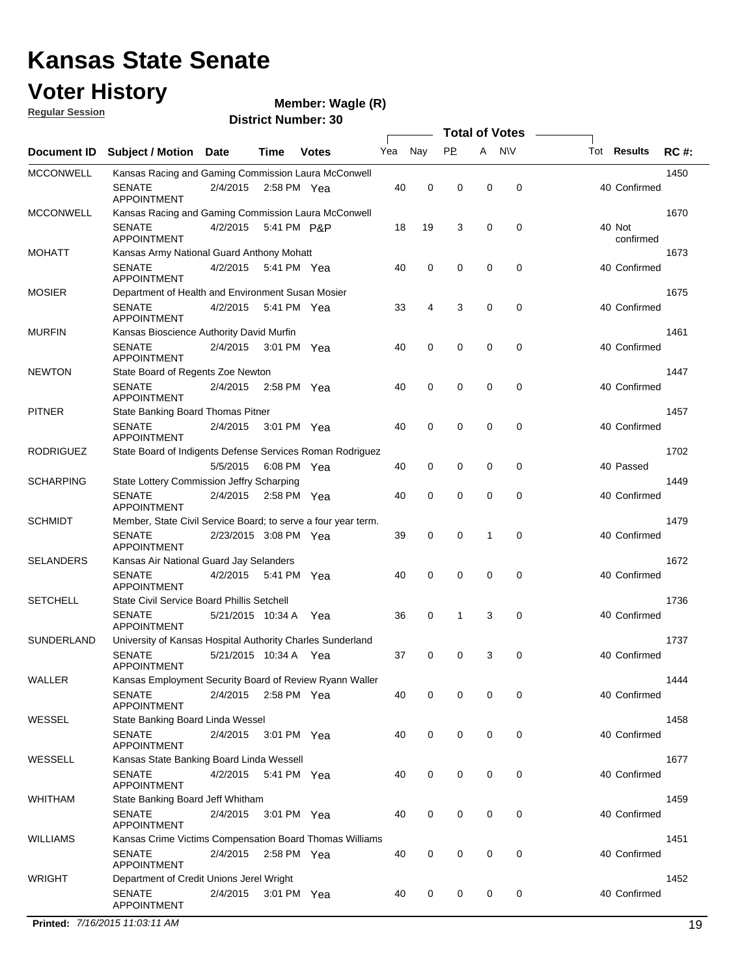### **Voter History Regular Session**

**Wagle (R)**

|                  |                                                               |                       |             |              |     |             |             | <b>Total of Votes</b> |             |                     |             |
|------------------|---------------------------------------------------------------|-----------------------|-------------|--------------|-----|-------------|-------------|-----------------------|-------------|---------------------|-------------|
| Document ID      | Subject / Motion Date                                         |                       | Time        | <b>Votes</b> | Yea | Nay         | <b>PP</b>   | A                     | <b>N\V</b>  | Tot <b>Results</b>  | <b>RC#:</b> |
| <b>MCCONWELL</b> | Kansas Racing and Gaming Commission Laura McConwell           |                       |             |              |     |             |             |                       |             |                     | 1450        |
|                  | <b>SENATE</b><br><b>APPOINTMENT</b>                           | 2/4/2015              |             | 2:58 PM Yea  | 40  | 0           | 0           | 0                     | 0           | 40 Confirmed        |             |
| <b>MCCONWELL</b> | Kansas Racing and Gaming Commission Laura McConwell           |                       |             |              |     |             |             |                       |             |                     | 1670        |
|                  | <b>SENATE</b><br><b>APPOINTMENT</b>                           | 4/2/2015              |             | 5:41 PM P&P  | 18  | 19          | 3           | 0                     | 0           | 40 Not<br>confirmed |             |
| <b>MOHATT</b>    | Kansas Army National Guard Anthony Mohatt                     |                       |             |              |     |             |             |                       |             |                     | 1673        |
|                  | <b>SENATE</b><br><b>APPOINTMENT</b>                           | 4/2/2015              |             | 5:41 PM Yea  | 40  | 0           | $\mathbf 0$ | 0                     | $\mathbf 0$ | 40 Confirmed        |             |
| <b>MOSIER</b>    | Department of Health and Environment Susan Mosier             |                       |             |              |     |             |             |                       |             |                     | 1675        |
|                  | <b>SENATE</b><br><b>APPOINTMENT</b>                           | 4/2/2015              |             | 5:41 PM Yea  | 33  | 4           | 3           | 0                     | 0           | 40 Confirmed        |             |
| <b>MURFIN</b>    | Kansas Bioscience Authority David Murfin                      |                       |             |              |     |             |             |                       |             |                     | 1461        |
|                  | <b>SENATE</b><br><b>APPOINTMENT</b>                           | 2/4/2015 3:01 PM Yea  |             |              | 40  | 0           | $\mathbf 0$ | 0                     | $\mathbf 0$ | 40 Confirmed        |             |
| <b>NEWTON</b>    | State Board of Regents Zoe Newton                             |                       |             |              |     |             |             |                       |             |                     | 1447        |
|                  | <b>SENATE</b><br><b>APPOINTMENT</b>                           | 2/4/2015              | 2:58 PM Yea |              | 40  | 0           | 0           | 0                     | 0           | 40 Confirmed        |             |
| <b>PITNER</b>    | State Banking Board Thomas Pitner                             |                       |             |              |     |             |             |                       |             |                     | 1457        |
|                  | <b>SENATE</b><br><b>APPOINTMENT</b>                           | 2/4/2015              |             | 3:01 PM Yea  | 40  | $\mathbf 0$ | 0           | 0                     | 0           | 40 Confirmed        |             |
| <b>RODRIGUEZ</b> | State Board of Indigents Defense Services Roman Rodriguez     |                       |             |              |     |             |             |                       |             |                     | 1702        |
|                  |                                                               | 5/5/2015              | 6:08 PM Yea |              | 40  | 0           | 0           | 0                     | 0           | 40 Passed           |             |
| <b>SCHARPING</b> | State Lottery Commission Jeffry Scharping                     |                       |             |              |     |             |             |                       |             |                     | 1449        |
|                  | <b>SENATE</b><br><b>APPOINTMENT</b>                           | 2/4/2015              |             | 2:58 PM Yea  | 40  | $\mathbf 0$ | 0           | 0                     | 0           | 40 Confirmed        |             |
| <b>SCHMIDT</b>   | Member, State Civil Service Board; to serve a four year term. |                       |             |              |     |             |             |                       |             |                     | 1479        |
|                  | <b>SENATE</b><br><b>APPOINTMENT</b>                           | 2/23/2015 3:08 PM Yea |             |              | 39  | $\mathbf 0$ | 0           | 1                     | 0           | 40 Confirmed        |             |
| <b>SELANDERS</b> | Kansas Air National Guard Jay Selanders                       |                       |             |              |     |             |             |                       |             |                     | 1672        |
|                  | <b>SENATE</b><br><b>APPOINTMENT</b>                           | 4/2/2015              | 5:41 PM Yea |              | 40  | 0           | 0           | 0                     | 0           | 40 Confirmed        |             |
| <b>SETCHELL</b>  | State Civil Service Board Phillis Setchell                    |                       |             |              |     |             |             |                       |             |                     | 1736        |
|                  | <b>SENATE</b><br><b>APPOINTMENT</b>                           | 5/21/2015 10:34 A     |             | Yea          | 36  | 0           | 1           | 3                     | $\mathbf 0$ | 40 Confirmed        |             |
| SUNDERLAND       | University of Kansas Hospital Authority Charles Sunderland    |                       |             |              |     |             |             |                       |             |                     | 1737        |
|                  | <b>SENATE</b><br>APPOINTMENT                                  | 5/21/2015 10:34 A Yea |             |              | 37  | 0           | 0           | 3                     | 0           | 40 Confirmed        |             |
| WALLER           | Kansas Employment Security Board of Review Ryann Waller       |                       |             |              |     |             |             |                       |             |                     | 1444        |
|                  | SENATE<br>APPOINTMENT                                         | 2/4/2015 2:58 PM Yea  |             |              | 40  | 0           | 0           | 0                     | 0           | 40 Confirmed        |             |
| WESSEL           | State Banking Board Linda Wessel                              |                       |             |              |     |             |             |                       |             |                     | 1458        |
|                  | <b>SENATE</b><br><b>APPOINTMENT</b>                           | 2/4/2015 3:01 PM Yea  |             |              | 40  | $\mathbf 0$ | 0           | 0                     | $\mathbf 0$ | 40 Confirmed        |             |
| WESSELL          | Kansas State Banking Board Linda Wessell                      |                       |             |              |     |             |             |                       |             |                     | 1677        |
|                  | <b>SENATE</b><br><b>APPOINTMENT</b>                           | 4/2/2015 5:41 PM Yea  |             |              | 40  | $\mathbf 0$ | 0           | 0                     | 0           | 40 Confirmed        |             |
| WHITHAM          | State Banking Board Jeff Whitham                              |                       |             |              |     |             |             |                       |             |                     | 1459        |
|                  | <b>SENATE</b><br><b>APPOINTMENT</b>                           | 2/4/2015              |             | 3:01 PM Yea  | 40  | 0           | 0           | 0                     | 0           | 40 Confirmed        |             |
| <b>WILLIAMS</b>  | Kansas Crime Victims Compensation Board Thomas Williams       |                       |             |              |     |             |             |                       |             |                     | 1451        |
|                  | <b>SENATE</b><br>APPOINTMENT                                  | 2/4/2015 2:58 PM Yea  |             |              | 40  | 0           | 0           | 0                     | 0           | 40 Confirmed        |             |
| <b>WRIGHT</b>    | Department of Credit Unions Jerel Wright                      |                       |             |              |     |             |             |                       |             |                     | 1452        |
|                  | <b>SENATE</b><br>APPOINTMENT                                  | 2/4/2015              |             | 3:01 PM Yea  | 40  | 0           | 0           | 0                     | 0           | 40 Confirmed        |             |